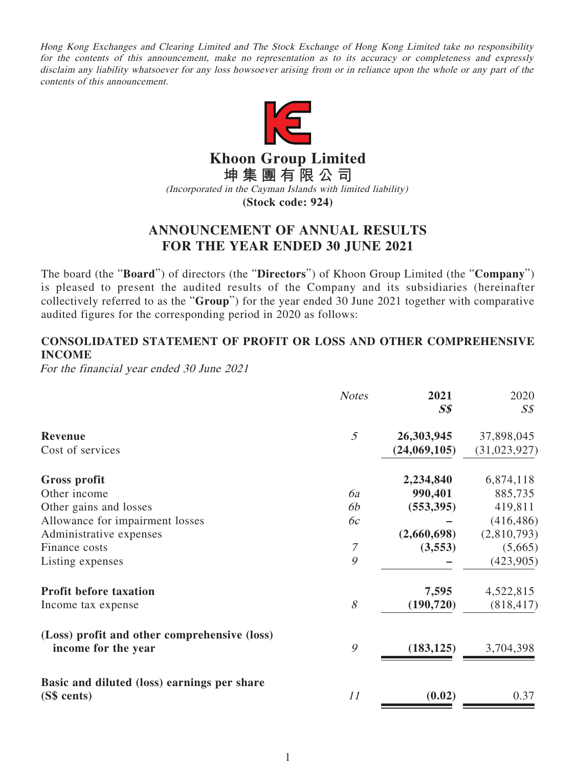Hong Kong Exchanges and Clearing Limited and The Stock Exchange of Hong Kong Limited take no responsibility for the contents of this announcement, make no representation as to its accuracy or completeness and expressly disclaim any liability whatsoever for any loss howsoever arising from or in reliance upon the whole or any part of the contents of this announcement.



**Khoon Group Limited**

**坤集團有限公司**

(Incorporated in the Cayman Islands with limited liability)

**(Stock code: 924)**

# **ANNOUNCEMENT OF ANNUAL RESULTS FOR THE YEAR ENDED 30 JUNE 2021**

The board (the "**Board**") of directors (the "**Directors**") of Khoon Group Limited (the "**Company**") is pleased to present the audited results of the Company and its subsidiaries (hereinafter collectively referred to as the "**Group**") for the year ended 30 June 2021 together with comparative audited figures for the corresponding period in 2020 as follows:

# **CONSOLIDATED STATEMENT OF PROFIT OR LOSS AND OTHER COMPREHENSIVE INCOME**

For the financial year ended 30 June 2021

|                                                                     | <b>Notes</b> | 2021<br>S <sub>s</sub> | 2020<br>$S\mathcal{S}$ |
|---------------------------------------------------------------------|--------------|------------------------|------------------------|
| Revenue                                                             | 5            | 26,303,945             | 37,898,045             |
| Cost of services                                                    |              | (24,069,105)           | (31, 023, 927)         |
| Gross profit                                                        |              | 2,234,840              | 6,874,118              |
| Other income                                                        | 6a           | 990,401                | 885,735                |
| Other gains and losses                                              | 6b           | (553, 395)             | 419,811                |
| Allowance for impairment losses                                     | 6c           |                        | (416, 486)             |
| Administrative expenses                                             |              | (2,660,698)            | (2,810,793)            |
| Finance costs                                                       | 7            | (3,553)                | (5,665)                |
| Listing expenses                                                    | 9            |                        | (423,905)              |
| <b>Profit before taxation</b>                                       |              | 7,595                  | 4,522,815              |
| Income tax expense                                                  | $\mathcal S$ | (190, 720)             | (818, 417)             |
| (Loss) profit and other comprehensive (loss)<br>income for the year | 9            | (183, 125)             | 3,704,398              |
| Basic and diluted (loss) earnings per share<br>(S\$ cents)          | 11           | (0.02)                 | 0.37                   |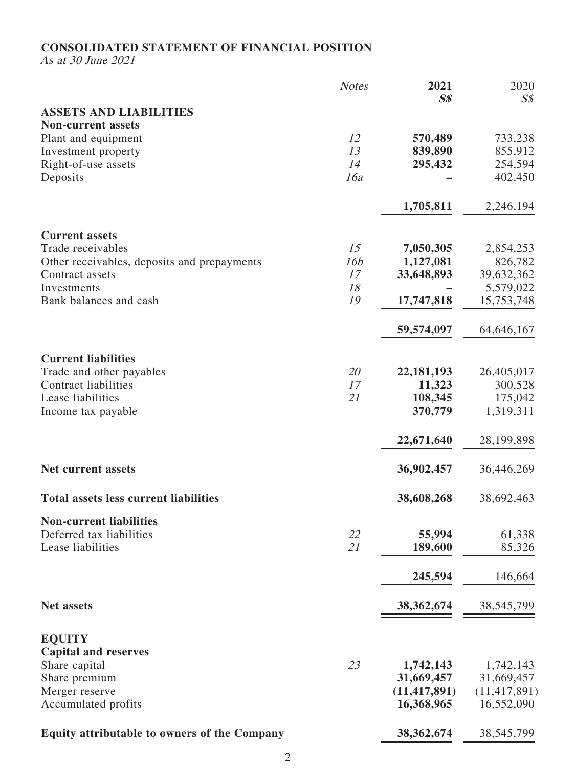# **CONSOLIDATED STATEMENT OF FINANCIAL POSITION**

As at 30 June 2021

|                                                     | <b>Notes</b>    | 2021           | 2020           |
|-----------------------------------------------------|-----------------|----------------|----------------|
|                                                     |                 | S <sub>s</sub> | $S\mathcal{S}$ |
| <b>ASSETS AND LIABILITIES</b>                       |                 |                |                |
| <b>Non-current assets</b>                           |                 |                |                |
| Plant and equipment                                 | 12              | 570,489        | 733,238        |
| Investment property                                 | 13              | 839,890        | 855,912        |
| Right-of-use assets                                 | 14              | 295,432        | 254,594        |
| Deposits                                            | 16a             |                | 402,450        |
|                                                     |                 | 1,705,811      | 2,246,194      |
| <b>Current assets</b>                               |                 |                |                |
| Trade receivables                                   | 15              | 7,050,305      | 2,854,253      |
| Other receivables, deposits and prepayments         | 16 <sub>b</sub> | 1,127,081      | 826,782        |
| Contract assets                                     | 17              | 33,648,893     | 39,632,362     |
| Investments                                         | 18              |                | 5,579,022      |
| Bank balances and cash                              | 19              | 17,747,818     | 15,753,748     |
|                                                     |                 | 59,574,097     | 64, 646, 167   |
| <b>Current liabilities</b>                          |                 |                |                |
| Trade and other payables                            | 20              | 22, 181, 193   | 26,405,017     |
| <b>Contract liabilities</b>                         | 17              | 11,323         | 300,528        |
| Lease liabilities                                   | 21              | 108,345        | 175,042        |
| Income tax payable                                  |                 | 370,779        | 1,319,311      |
|                                                     |                 | 22,671,640     | 28, 199, 898   |
| <b>Net current assets</b>                           |                 | 36,902,457     | 36,446,269     |
| <b>Total assets less current liabilities</b>        |                 | 38,608,268     | 38,692,463     |
| <b>Non-current liabilities</b>                      |                 |                |                |
| Deferred tax liabilities                            | 22              | 55,994         | 61,338         |
| Lease liabilities                                   | 21              | 189,600        | 85,326         |
|                                                     |                 | 245,594        | 146,664        |
| <b>Net assets</b>                                   |                 | 38, 362, 674   | 38, 545, 799   |
|                                                     |                 |                |                |
| <b>EQUITY</b><br><b>Capital and reserves</b>        |                 |                |                |
| Share capital                                       | 23              | 1,742,143      | 1,742,143      |
| Share premium                                       |                 | 31,669,457     | 31,669,457     |
| Merger reserve                                      |                 | (11, 417, 891) | (11, 417, 891) |
| Accumulated profits                                 |                 | 16,368,965     | 16,552,090     |
| <b>Equity attributable to owners of the Company</b> |                 | 38, 362, 674   | 38,545,799     |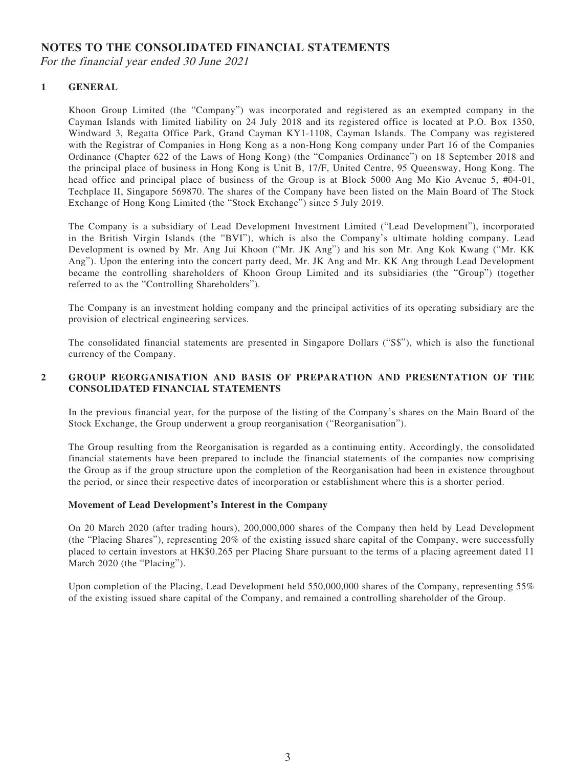# **NOTES TO THE CONSOLIDATED FINANCIAL STATEMENTS**

For the financial year ended 30 June 2021

## **1 GENERAL**

Khoon Group Limited (the "Company") was incorporated and registered as an exempted company in the Cayman Islands with limited liability on 24 July 2018 and its registered office is located at P.O. Box 1350, Windward 3, Regatta Office Park, Grand Cayman KY1-1108, Cayman Islands. The Company was registered with the Registrar of Companies in Hong Kong as a non-Hong Kong company under Part 16 of the Companies Ordinance (Chapter 622 of the Laws of Hong Kong) (the "Companies Ordinance") on 18 September 2018 and the principal place of business in Hong Kong is Unit B, 17/F, United Centre, 95 Queensway, Hong Kong. The head office and principal place of business of the Group is at Block 5000 Ang Mo Kio Avenue 5, #04-01, Techplace II, Singapore 569870. The shares of the Company have been listed on the Main Board of The Stock Exchange of Hong Kong Limited (the "Stock Exchange") since 5 July 2019.

The Company is a subsidiary of Lead Development Investment Limited ("Lead Development"), incorporated in the British Virgin Islands (the "BVI"), which is also the Company's ultimate holding company. Lead Development is owned by Mr. Ang Jui Khoon ("Mr. JK Ang") and his son Mr. Ang Kok Kwang ("Mr. KK Ang"). Upon the entering into the concert party deed, Mr. JK Ang and Mr. KK Ang through Lead Development became the controlling shareholders of Khoon Group Limited and its subsidiaries (the "Group") (together referred to as the "Controlling Shareholders").

The Company is an investment holding company and the principal activities of its operating subsidiary are the provision of electrical engineering services.

The consolidated financial statements are presented in Singapore Dollars ("S\$"), which is also the functional currency of the Company.

## **2 GROUP REORGANISATION AND BASIS OF PREPARATION AND PRESENTATION OF THE CONSOLIDATED FINANCIAL STATEMENTS**

In the previous financial year, for the purpose of the listing of the Company's shares on the Main Board of the Stock Exchange, the Group underwent a group reorganisation ("Reorganisation").

The Group resulting from the Reorganisation is regarded as a continuing entity. Accordingly, the consolidated financial statements have been prepared to include the financial statements of the companies now comprising the Group as if the group structure upon the completion of the Reorganisation had been in existence throughout the period, or since their respective dates of incorporation or establishment where this is a shorter period.

## **Movement of Lead Development's Interest in the Company**

On 20 March 2020 (after trading hours), 200,000,000 shares of the Company then held by Lead Development (the "Placing Shares"), representing 20% of the existing issued share capital of the Company, were successfully placed to certain investors at HK\$0.265 per Placing Share pursuant to the terms of a placing agreement dated 11 March 2020 (the "Placing").

Upon completion of the Placing, Lead Development held 550,000,000 shares of the Company, representing 55% of the existing issued share capital of the Company, and remained a controlling shareholder of the Group.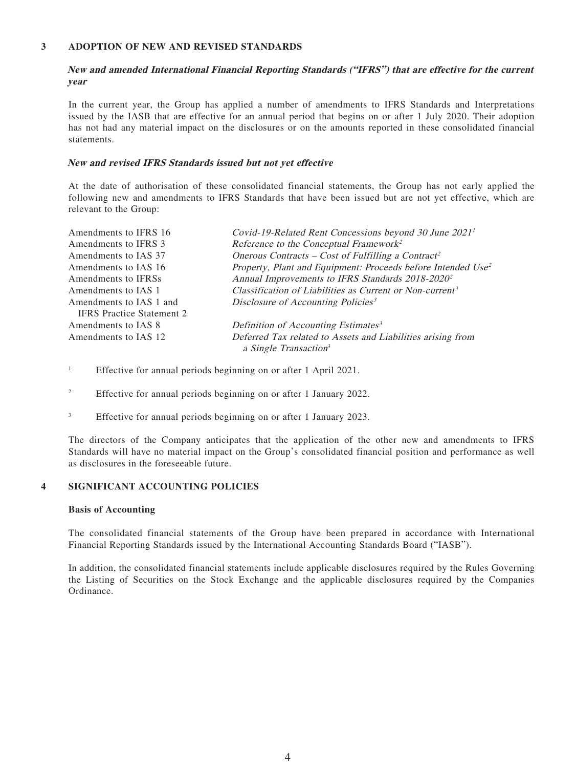## **3 ADOPTION OF NEW AND REVISED STANDARDS**

**New and amended International Financial Reporting Standards ("IFRS") that are effective for the current year**

In the current year, the Group has applied a number of amendments to IFRS Standards and Interpretations issued by the IASB that are effective for an annual period that begins on or after 1 July 2020. Their adoption has not had any material impact on the disclosures or on the amounts reported in these consolidated financial statements.

#### **New and revised IFRS Standards issued but not yet effective**

At the date of authorisation of these consolidated financial statements, the Group has not early applied the following new and amendments to IFRS Standards that have been issued but are not yet effective, which are relevant to the Group:

| Reference to the Conceptual Framework <sup>2</sup><br>Amendments to IFRS 3<br>Onerous Contracts – Cost of Fulfilling a Contract <sup>2</sup><br>Amendments to IAS 37<br>Amendments to IAS 16<br>Annual Improvements to IFRS Standards 2018-2020 <sup>2</sup><br>Amendments to IFRSs<br>Classification of Liabilities as Current or Non-current <sup>3</sup><br>Amendments to IAS 1<br>Disclosure of Accounting Policies <sup>3</sup><br>Amendments to IAS 1 and<br><b>IFRS</b> Practice Statement 2<br>Definition of Accounting Estimates <sup>3</sup><br>Amendments to IAS 8<br>Deferred Tax related to Assets and Liabilities arising from<br>Amendments to IAS 12<br>a Single Transaction <sup>3</sup> | Amendments to IFRS 16 | Covid-19-Related Rent Concessions beyond 30 June 2021 <sup>1</sup>       |
|-----------------------------------------------------------------------------------------------------------------------------------------------------------------------------------------------------------------------------------------------------------------------------------------------------------------------------------------------------------------------------------------------------------------------------------------------------------------------------------------------------------------------------------------------------------------------------------------------------------------------------------------------------------------------------------------------------------|-----------------------|--------------------------------------------------------------------------|
|                                                                                                                                                                                                                                                                                                                                                                                                                                                                                                                                                                                                                                                                                                           |                       |                                                                          |
|                                                                                                                                                                                                                                                                                                                                                                                                                                                                                                                                                                                                                                                                                                           |                       |                                                                          |
|                                                                                                                                                                                                                                                                                                                                                                                                                                                                                                                                                                                                                                                                                                           |                       | Property, Plant and Equipment: Proceeds before Intended Use <sup>2</sup> |
|                                                                                                                                                                                                                                                                                                                                                                                                                                                                                                                                                                                                                                                                                                           |                       |                                                                          |
|                                                                                                                                                                                                                                                                                                                                                                                                                                                                                                                                                                                                                                                                                                           |                       |                                                                          |
|                                                                                                                                                                                                                                                                                                                                                                                                                                                                                                                                                                                                                                                                                                           |                       |                                                                          |
|                                                                                                                                                                                                                                                                                                                                                                                                                                                                                                                                                                                                                                                                                                           |                       |                                                                          |
|                                                                                                                                                                                                                                                                                                                                                                                                                                                                                                                                                                                                                                                                                                           |                       |                                                                          |
|                                                                                                                                                                                                                                                                                                                                                                                                                                                                                                                                                                                                                                                                                                           |                       |                                                                          |

- 1 Effective for annual periods beginning on or after 1 April 2021.
- 2 Effective for annual periods beginning on or after 1 January 2022.
- 3 Effective for annual periods beginning on or after 1 January 2023.

The directors of the Company anticipates that the application of the other new and amendments to IFRS Standards will have no material impact on the Group's consolidated financial position and performance as well as disclosures in the foreseeable future.

## **4 SIGNIFICANT ACCOUNTING POLICIES**

#### **Basis of Accounting**

The consolidated financial statements of the Group have been prepared in accordance with International Financial Reporting Standards issued by the International Accounting Standards Board ("IASB").

In addition, the consolidated financial statements include applicable disclosures required by the Rules Governing the Listing of Securities on the Stock Exchange and the applicable disclosures required by the Companies Ordinance.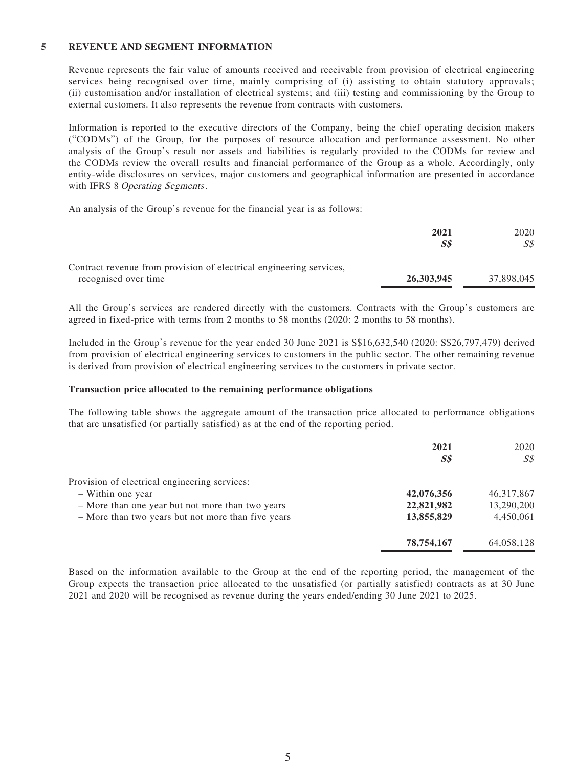### **5 REVENUE AND SEGMENT INFORMATION**

Revenue represents the fair value of amounts received and receivable from provision of electrical engineering services being recognised over time, mainly comprising of (i) assisting to obtain statutory approvals; (ii) customisation and/or installation of electrical systems; and (iii) testing and commissioning by the Group to external customers. It also represents the revenue from contracts with customers.

Information is reported to the executive directors of the Company, being the chief operating decision makers ("CODMs") of the Group, for the purposes of resource allocation and performance assessment. No other analysis of the Group's result nor assets and liabilities is regularly provided to the CODMs for review and the CODMs review the overall results and financial performance of the Group as a whole. Accordingly, only entity-wide disclosures on services, major customers and geographical information are presented in accordance with IFRS 8 Operating Segments.

An analysis of the Group's revenue for the financial year is as follows:

|                                                                     | 2021       | 2020       |
|---------------------------------------------------------------------|------------|------------|
|                                                                     | SS         | SS         |
| Contract revenue from provision of electrical engineering services, |            |            |
| recognised over time                                                | 26,303,945 | 37.898.045 |

All the Group's services are rendered directly with the customers. Contracts with the Group's customers are agreed in fixed-price with terms from 2 months to 58 months (2020: 2 months to 58 months).

Included in the Group's revenue for the year ended 30 June 2021 is S\$16,632,540 (2020: S\$26,797,479) derived from provision of electrical engineering services to customers in the public sector. The other remaining revenue is derived from provision of electrical engineering services to the customers in private sector.

#### **Transaction price allocated to the remaining performance obligations**

The following table shows the aggregate amount of the transaction price allocated to performance obligations that are unsatisfied (or partially satisfied) as at the end of the reporting period.

|                                                    | 2021<br>S <sub>s</sub> | 2020<br>SS   |
|----------------------------------------------------|------------------------|--------------|
| Provision of electrical engineering services:      |                        |              |
| - Within one year                                  | 42,076,356             | 46, 317, 867 |
| - More than one year but not more than two years   | 22,821,982             | 13,290,200   |
| - More than two years but not more than five years | 13,855,829             | 4,450,061    |
|                                                    | 78,754,167             | 64,058,128   |

Based on the information available to the Group at the end of the reporting period, the management of the Group expects the transaction price allocated to the unsatisfied (or partially satisfied) contracts as at 30 June 2021 and 2020 will be recognised as revenue during the years ended/ending 30 June 2021 to 2025.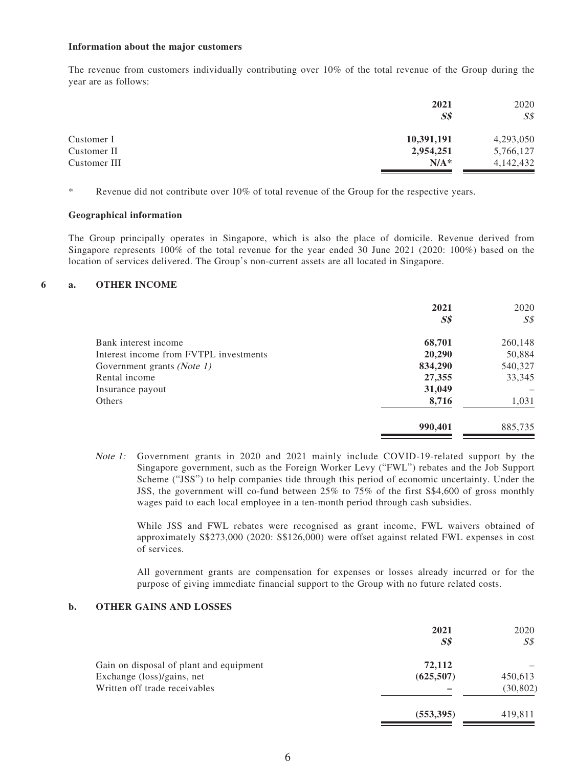#### **Information about the major customers**

The revenue from customers individually contributing over 10% of the total revenue of the Group during the year are as follows:

|              | 2021           | 2020           |
|--------------|----------------|----------------|
|              | S <sub>s</sub> | S <sub>s</sub> |
| Customer I   | 10,391,191     | 4,293,050      |
| Customer II  | 2,954,251      | 5,766,127      |
| Customer III | $N/A^*$        | 4,142,432      |

\* Revenue did not contribute over 10% of total revenue of the Group for the respective years.

#### **Geographical information**

The Group principally operates in Singapore, which is also the place of domicile. Revenue derived from Singapore represents 100% of the total revenue for the year ended 30 June 2021 (2020: 100%) based on the location of services delivered. The Group's non-current assets are all located in Singapore.

### **6 a. OTHER INCOME**

|                                        | 2021<br>S <sub>s</sub> | 2020<br>$S\mathcal{S}$ |
|----------------------------------------|------------------------|------------------------|
| Bank interest income                   | 68,701                 | 260,148                |
| Interest income from FVTPL investments | 20,290                 | 50,884                 |
| Government grants (Note 1)             | 834,290                | 540,327                |
| Rental income                          | 27,355                 | 33,345                 |
| Insurance payout                       | 31,049                 |                        |
| Others                                 | 8,716                  | 1,031                  |
|                                        | 990,401                | 885,735                |

Note 1: Government grants in 2020 and 2021 mainly include COVID-19-related support by the Singapore government, such as the Foreign Worker Levy ("FWL") rebates and the Job Support Scheme ("JSS") to help companies tide through this period of economic uncertainty. Under the JSS, the government will co-fund between 25% to 75% of the first S\$4,600 of gross monthly wages paid to each local employee in a ten-month period through cash subsidies.

While JSS and FWL rebates were recognised as grant income, FWL waivers obtained of approximately S\$273,000 (2020: S\$126,000) were offset against related FWL expenses in cost of services.

All government grants are compensation for expenses or losses already incurred or for the purpose of giving immediate financial support to the Group with no future related costs.

## **b. OTHER GAINS AND LOSSES**

|                                         | 2021           | 2020           |
|-----------------------------------------|----------------|----------------|
|                                         | S <sub>s</sub> | $S\mathcal{S}$ |
| Gain on disposal of plant and equipment | 72,112         |                |
| Exchange (loss)/gains, net              | (625,507)      | 450,613        |
| Written off trade receivables           |                | (30, 802)      |
|                                         | (553, 395)     | 419,811        |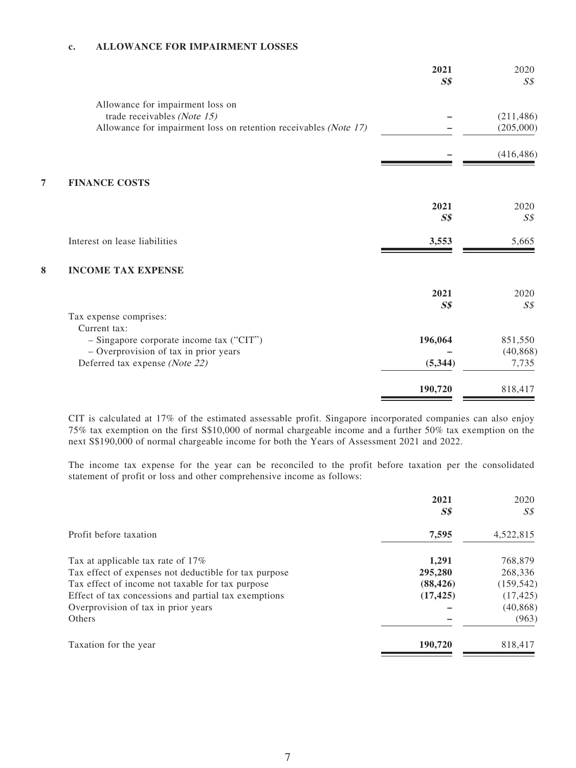## **c. ALLOWANCE FOR IMPAIRMENT LOSSES**

|   |                                                                  | 2021<br>S <sub>s</sub> | 2020<br>$S\mathcal{S}$ |
|---|------------------------------------------------------------------|------------------------|------------------------|
|   | Allowance for impairment loss on                                 |                        |                        |
|   | trade receivables (Note 15)                                      |                        | (211, 486)             |
|   | Allowance for impairment loss on retention receivables (Note 17) |                        | (205,000)              |
|   |                                                                  |                        | (416, 486)             |
| 7 | <b>FINANCE COSTS</b>                                             |                        |                        |
|   |                                                                  | 2021                   | 2020                   |
|   |                                                                  | S <sub>s</sub>         | $S\mathcal{S}$         |
|   | Interest on lease liabilities                                    | 3,553                  | 5,665                  |
| 8 | <b>INCOME TAX EXPENSE</b>                                        |                        |                        |
|   |                                                                  | 2021                   | 2020                   |
|   |                                                                  | S <sub>s</sub>         | S <sub>S</sub>         |
|   | Tax expense comprises:                                           |                        |                        |
|   | Current tax:                                                     |                        |                        |
|   | - Singapore corporate income tax ("CIT")                         | 196,064                | 851,550                |
|   | - Overprovision of tax in prior years                            |                        | (40, 868)              |
|   | Deferred tax expense (Note 22)                                   | (5, 344)               | 7,735                  |
|   |                                                                  | 190,720                | 818,417                |
|   |                                                                  |                        |                        |

CIT is calculated at 17% of the estimated assessable profit. Singapore incorporated companies can also enjoy 75% tax exemption on the first S\$10,000 of normal chargeable income and a further 50% tax exemption on the next S\$190,000 of normal chargeable income for both the Years of Assessment 2021 and 2022.

The income tax expense for the year can be reconciled to the profit before taxation per the consolidated statement of profit or loss and other comprehensive income as follows:

|                                                       | 2021<br>$S\$ | 2020<br>S\$ |
|-------------------------------------------------------|--------------|-------------|
| Profit before taxation                                | 7,595        | 4,522,815   |
| Tax at applicable tax rate of 17%                     | 1.291        | 768,879     |
| Tax effect of expenses not deductible for tax purpose | 295,280      | 268,336     |
| Tax effect of income not taxable for tax purpose      | (88, 426)    | (159, 542)  |
| Effect of tax concessions and partial tax exemptions  | (17, 425)    | (17, 425)   |
| Overprovision of tax in prior years                   |              | (40, 868)   |
| Others                                                |              | (963)       |
| Taxation for the year                                 | 190,720      | 818,417     |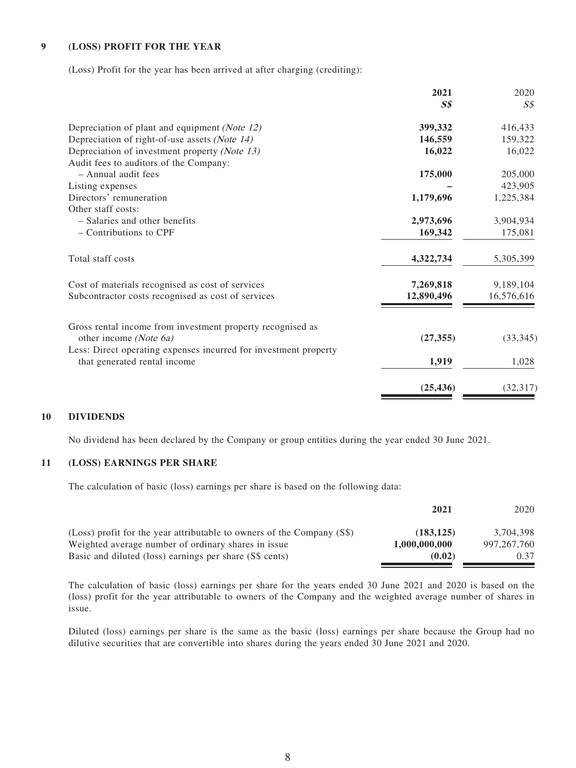### **9 (LOSS) PROFIT FOR THE YEAR**

(Loss) Profit for the year has been arrived at after charging (crediting):

| 2021           | 2020           |
|----------------|----------------|
| S <sub>s</sub> | $S\mathcal{S}$ |
| 399,332        | 416,433        |
| 146,559        | 159,322        |
| 16,022         | 16,022         |
|                |                |
| 175,000        | 205,000        |
|                | 423,905        |
| 1,179,696      | 1,225,384      |
|                |                |
| 2,973,696      | 3,904,934      |
| 169,342        | 175,081        |
| 4,322,734      | 5,305,399      |
| 7,269,818      | 9,189,104      |
| 12,890,496     | 16,576,616     |
|                |                |
| (27, 355)      | (33, 345)      |
|                |                |
| 1,919          | 1,028          |
| (25, 436)      | (32, 317)      |
|                |                |

### **10 DIVIDENDS**

No dividend has been declared by the Company or group entities during the year ended 30 June 2021.

### **11 (LOSS) EARNINGS PER SHARE**

The calculation of basic (loss) earnings per share is based on the following data:

|                                                                                                                               | 2021                       | 2020                       |
|-------------------------------------------------------------------------------------------------------------------------------|----------------------------|----------------------------|
| (Loss) profit for the year attributable to owners of the Company (S\$)<br>Weighted average number of ordinary shares in issue | (183.125)<br>1,000,000,000 | 3.704.398<br>997, 267, 760 |
| Basic and diluted (loss) earnings per share (S\$ cents)                                                                       | (0.02)                     | 0.37                       |

The calculation of basic (loss) earnings per share for the years ended 30 June 2021 and 2020 is based on the (loss) profit for the year attributable to owners of the Company and the weighted average number of shares in issue.

Diluted (loss) earnings per share is the same as the basic (loss) earnings per share because the Group had no dilutive securities that are convertible into shares during the years ended 30 June 2021 and 2020.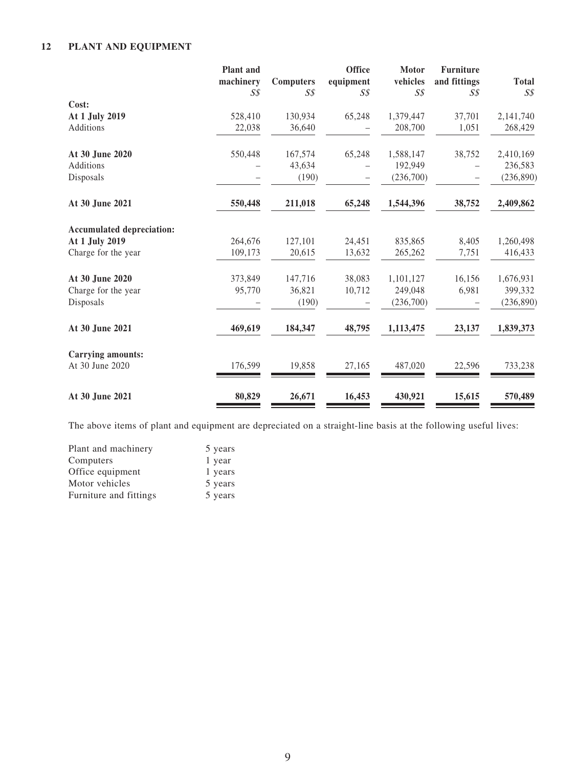# **12 PLANT AND EQUIPMENT**

|                                  | <b>Plant</b> and |                                    | <b>Office</b>  | Motor          | <b>Furniture</b> |                |
|----------------------------------|------------------|------------------------------------|----------------|----------------|------------------|----------------|
|                                  | machinery        | <b>Computers</b><br>$S\mathcal{S}$ | equipment      | vehicles       | and fittings     | <b>Total</b>   |
| Cost:                            | $S\mathcal{S}$   |                                    | $S\mathcal{S}$ | $S\mathcal{S}$ | $S\mathcal{S}$   | $S\mathcal{S}$ |
| At 1 July 2019                   | 528,410          | 130,934                            | 65,248         | 1,379,447      | 37,701           | 2,141,740      |
| Additions                        |                  | 36,640                             |                | 208,700        | 1,051            |                |
|                                  | 22,038           |                                    |                |                |                  | 268,429        |
| At 30 June 2020                  | 550,448          | 167,574                            | 65,248         | 1,588,147      | 38,752           | 2,410,169      |
| Additions                        |                  | 43,634                             |                | 192,949        |                  | 236,583        |
| Disposals                        |                  | (190)                              | -              | (236,700)      |                  | (236, 890)     |
| At 30 June 2021                  | 550,448          | 211,018                            | 65,248         | 1,544,396      | 38,752           | 2,409,862      |
| <b>Accumulated depreciation:</b> |                  |                                    |                |                |                  |                |
| At 1 July 2019                   | 264,676          | 127,101                            | 24,451         | 835,865        | 8,405            | 1,260,498      |
| Charge for the year              | 109,173          | 20,615                             | 13,632         | 265,262        | 7,751            | 416,433        |
| At 30 June 2020                  | 373,849          | 147,716                            | 38,083         | 1,101,127      | 16,156           | 1,676,931      |
| Charge for the year              | 95,770           | 36,821                             | 10,712         | 249,048        | 6,981            | 399,332        |
| Disposals                        |                  | (190)                              |                | (236,700)      |                  | (236, 890)     |
| At 30 June 2021                  | 469,619          | 184,347                            | 48,795         | 1,113,475      | 23,137           | 1,839,373      |
| <b>Carrying amounts:</b>         |                  |                                    |                |                |                  |                |
| At 30 June 2020                  | 176,599          | 19,858                             | 27,165         | 487,020        | 22,596           | 733,238        |
| At 30 June 2021                  | 80,829           | 26,671                             | 16,453         | 430,921        | 15,615           | 570,489        |

The above items of plant and equipment are depreciated on a straight-line basis at the following useful lives:

| Plant and machinery    | 5 years |
|------------------------|---------|
| Computers              | 1 year  |
| Office equipment       | 1 years |
| Motor vehicles         | 5 years |
| Furniture and fittings | 5 years |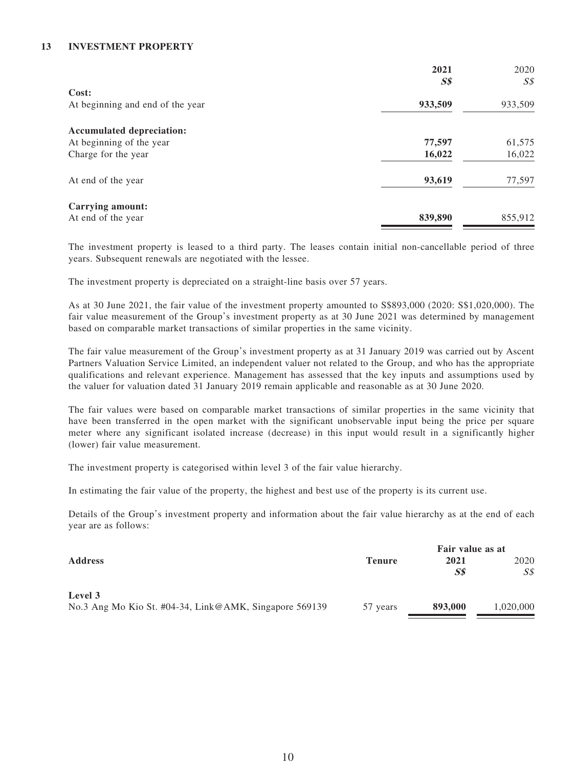## **13 INVESTMENT PROPERTY**

|                                  | 2021           | 2020    |
|----------------------------------|----------------|---------|
| Cost:                            | S <sub>s</sub> | S\$     |
| At beginning and end of the year | 933,509        | 933,509 |
| <b>Accumulated depreciation:</b> |                |         |
| At beginning of the year         | 77,597         | 61,575  |
| Charge for the year              | 16,022         | 16,022  |
| At end of the year               | 93,619         | 77,597  |
| Carrying amount:                 |                |         |
| At end of the year               | 839,890        | 855,912 |

The investment property is leased to a third party. The leases contain initial non-cancellable period of three years. Subsequent renewals are negotiated with the lessee.

The investment property is depreciated on a straight-line basis over 57 years.

As at 30 June 2021, the fair value of the investment property amounted to S\$893,000 (2020: S\$1,020,000). The fair value measurement of the Group's investment property as at 30 June 2021 was determined by management based on comparable market transactions of similar properties in the same vicinity.

The fair value measurement of the Group's investment property as at 31 January 2019 was carried out by Ascent Partners Valuation Service Limited, an independent valuer not related to the Group, and who has the appropriate qualifications and relevant experience. Management has assessed that the key inputs and assumptions used by the valuer for valuation dated 31 January 2019 remain applicable and reasonable as at 30 June 2020.

The fair values were based on comparable market transactions of similar properties in the same vicinity that have been transferred in the open market with the significant unobservable input being the price per square meter where any significant isolated increase (decrease) in this input would result in a significantly higher (lower) fair value measurement.

The investment property is categorised within level 3 of the fair value hierarchy.

In estimating the fair value of the property, the highest and best use of the property is its current use.

Details of the Group's investment property and information about the fair value hierarchy as at the end of each year are as follows:

|                                                        |               | Fair value as at |           |  |
|--------------------------------------------------------|---------------|------------------|-----------|--|
| <b>Address</b>                                         | <b>Tenure</b> | 2021             | 2020      |  |
|                                                        |               | S\$              | SS        |  |
| Level 3                                                |               |                  |           |  |
| No.3 Ang Mo Kio St. #04-34, Link@AMK, Singapore 569139 | 57 years      | 893,000          | 1,020,000 |  |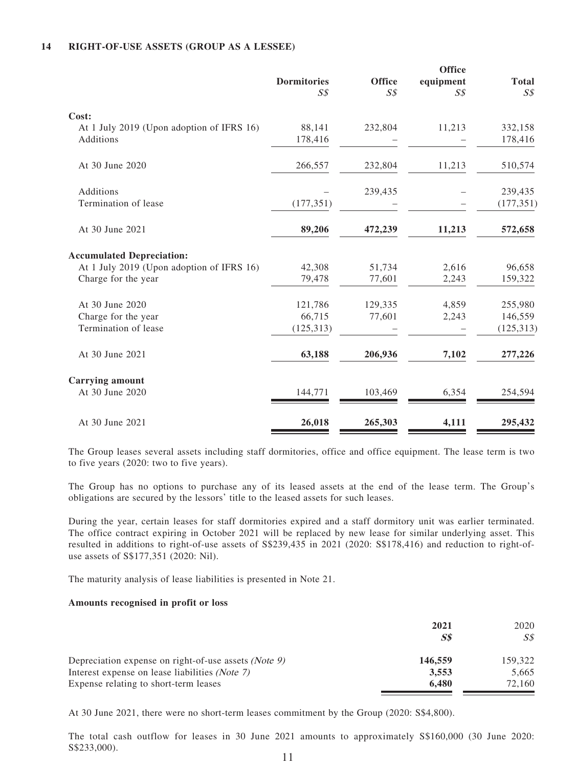### **14 RIGHT-OF-USE ASSETS (GROUP AS A LESSEE)**

|                                           |                                      | <b>Office</b>  | <b>Office</b>               |                                |
|-------------------------------------------|--------------------------------------|----------------|-----------------------------|--------------------------------|
|                                           | <b>Dormitories</b><br>S <sub>S</sub> | S <sub>S</sub> | equipment<br>S <sub>S</sub> | <b>Total</b><br>S <sub>s</sub> |
| Cost:                                     |                                      |                |                             |                                |
| At 1 July 2019 (Upon adoption of IFRS 16) | 88,141                               | 232,804        | 11,213                      | 332,158                        |
| Additions                                 | 178,416                              |                |                             | 178,416                        |
| At 30 June 2020                           | 266,557                              | 232,804        | 11,213                      | 510,574                        |
| Additions                                 |                                      | 239,435        |                             | 239,435                        |
| Termination of lease                      | (177, 351)                           |                |                             | (177, 351)                     |
| At 30 June 2021                           | 89,206                               | 472,239        | 11,213                      | 572,658                        |
| <b>Accumulated Depreciation:</b>          |                                      |                |                             |                                |
| At 1 July 2019 (Upon adoption of IFRS 16) | 42,308                               | 51,734         | 2,616                       | 96,658                         |
| Charge for the year                       | 79,478                               | 77,601         | 2,243                       | 159,322                        |
| At 30 June 2020                           | 121,786                              | 129,335        | 4,859                       | 255,980                        |
| Charge for the year                       | 66,715                               | 77,601         | 2,243                       | 146,559                        |
| Termination of lease                      | (125, 313)                           |                |                             | (125, 313)                     |
| At 30 June 2021                           | 63,188                               | 206,936        | 7,102                       | 277,226                        |
| <b>Carrying amount</b>                    |                                      |                |                             |                                |
| At 30 June 2020                           | 144,771                              | 103,469        | 6,354                       | 254,594                        |
| At 30 June 2021                           | 26,018                               | 265,303        | 4,111                       | 295,432                        |

The Group leases several assets including staff dormitories, office and office equipment. The lease term is two to five years (2020: two to five years).

The Group has no options to purchase any of its leased assets at the end of the lease term. The Group's obligations are secured by the lessors' title to the leased assets for such leases.

During the year, certain leases for staff dormitories expired and a staff dormitory unit was earlier terminated. The office contract expiring in October 2021 will be replaced by new lease for similar underlying asset. This resulted in additions to right-of-use assets of S\$239,435 in 2021 (2020: S\$178,416) and reduction to right-ofuse assets of S\$177,351 (2020: Nil).

The maturity analysis of lease liabilities is presented in Note 21.

#### **Amounts recognised in profit or loss**

|                                                      | 2021<br>S\$ | 2020<br>S\$ |
|------------------------------------------------------|-------------|-------------|
| Depreciation expense on right-of-use assets (Note 9) | 146,559     | 159.322     |
| Interest expense on lease liabilities (Note 7)       | 3,553       | 5.665       |
| Expense relating to short-term leases                | 6.480       | 72.160      |

At 30 June 2021, there were no short-term leases commitment by the Group (2020: S\$4,800).

The total cash outflow for leases in 30 June 2021 amounts to approximately S\$160,000 (30 June 2020: S\$233,000).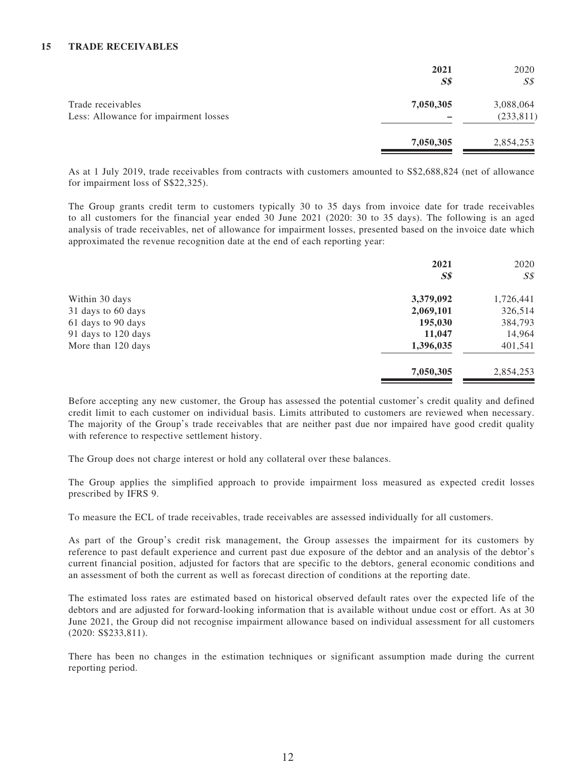### **15 TRADE RECEIVABLES**

|                                                            | 2021<br>$S\$ | 2020<br>SS              |
|------------------------------------------------------------|--------------|-------------------------|
| Trade receivables<br>Less: Allowance for impairment losses | 7,050,305    | 3,088,064<br>(233, 811) |
|                                                            | 7,050,305    | 2,854,253               |

As at 1 July 2019, trade receivables from contracts with customers amounted to S\$2,688,824 (net of allowance for impairment loss of S\$22,325).

The Group grants credit term to customers typically 30 to 35 days from invoice date for trade receivables to all customers for the financial year ended 30 June 2021 (2020: 30 to 35 days). The following is an aged analysis of trade receivables, net of allowance for impairment losses, presented based on the invoice date which approximated the revenue recognition date at the end of each reporting year:

|                     | 2021           | 2020           |
|---------------------|----------------|----------------|
|                     | S <sub>s</sub> | $S\mathcal{S}$ |
| Within 30 days      | 3,379,092      | 1,726,441      |
| 31 days to 60 days  | 2,069,101      | 326,514        |
| 61 days to 90 days  | 195,030        | 384,793        |
| 91 days to 120 days | 11,047         | 14,964         |
| More than 120 days  | 1,396,035      | 401,541        |
|                     | 7,050,305      | 2,854,253      |
|                     |                |                |

Before accepting any new customer, the Group has assessed the potential customer's credit quality and defined credit limit to each customer on individual basis. Limits attributed to customers are reviewed when necessary. The majority of the Group's trade receivables that are neither past due nor impaired have good credit quality with reference to respective settlement history.

The Group does not charge interest or hold any collateral over these balances.

The Group applies the simplified approach to provide impairment loss measured as expected credit losses prescribed by IFRS 9.

To measure the ECL of trade receivables, trade receivables are assessed individually for all customers.

As part of the Group's credit risk management, the Group assesses the impairment for its customers by reference to past default experience and current past due exposure of the debtor and an analysis of the debtor's current financial position, adjusted for factors that are specific to the debtors, general economic conditions and an assessment of both the current as well as forecast direction of conditions at the reporting date.

The estimated loss rates are estimated based on historical observed default rates over the expected life of the debtors and are adjusted for forward-looking information that is available without undue cost or effort. As at 30 June 2021, the Group did not recognise impairment allowance based on individual assessment for all customers (2020: S\$233,811).

There has been no changes in the estimation techniques or significant assumption made during the current reporting period.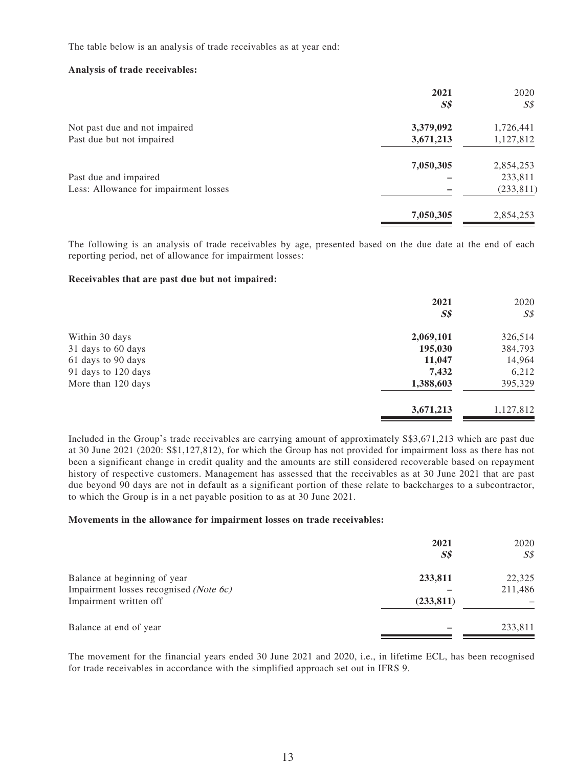The table below is an analysis of trade receivables as at year end:

#### **Analysis of trade receivables:**

|                                       | 2021<br>S <sub>s</sub> | 2020<br>$S\mathcal{S}$ |
|---------------------------------------|------------------------|------------------------|
| Not past due and not impaired         | 3,379,092              | 1,726,441              |
| Past due but not impaired             | 3,671,213              | 1,127,812              |
|                                       | 7,050,305              | 2,854,253              |
| Past due and impaired                 |                        | 233,811                |
| Less: Allowance for impairment losses |                        | (233, 811)             |
|                                       | 7,050,305              | 2,854,253              |

The following is an analysis of trade receivables by age, presented based on the due date at the end of each reporting period, net of allowance for impairment losses:

#### **Receivables that are past due but not impaired:**

|                     | 2021<br>S <sub>s</sub> | 2020<br>$S\mathcal{S}$ |
|---------------------|------------------------|------------------------|
| Within 30 days      | 2,069,101              | 326,514                |
| 31 days to 60 days  | 195,030                | 384,793                |
| 61 days to 90 days  | 11,047                 | 14,964                 |
| 91 days to 120 days | 7,432                  | 6,212                  |
| More than 120 days  | 1,388,603              | 395,329                |
|                     | 3,671,213              | 1,127,812              |

Included in the Group's trade receivables are carrying amount of approximately S\$3,671,213 which are past due at 30 June 2021 (2020: S\$1,127,812), for which the Group has not provided for impairment loss as there has not been a significant change in credit quality and the amounts are still considered recoverable based on repayment history of respective customers. Management has assessed that the receivables as at 30 June 2021 that are past due beyond 90 days are not in default as a significant portion of these relate to backcharges to a subcontractor, to which the Group is in a net payable position to as at 30 June 2021.

#### **Movements in the allowance for impairment losses on trade receivables:**

|                                        | 2021<br>S <sub>s</sub> | 2020<br>S\$ |
|----------------------------------------|------------------------|-------------|
| Balance at beginning of year           | 233,811                | 22,325      |
| Impairment losses recognised (Note 6c) |                        | 211,486     |
| Impairment written off                 | (233, 811)             |             |
| Balance at end of year                 |                        | 233,811     |

The movement for the financial years ended 30 June 2021 and 2020, i.e., in lifetime ECL, has been recognised for trade receivables in accordance with the simplified approach set out in IFRS 9.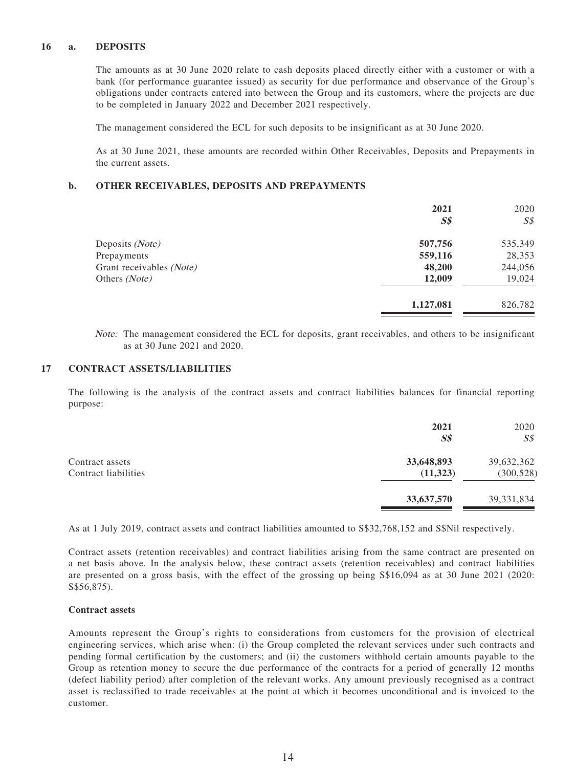### **16 a. DEPOSITS**

The amounts as at 30 June 2020 relate to cash deposits placed directly either with a customer or with a bank (for performance guarantee issued) as security for due performance and observance of the Group's obligations under contracts entered into between the Group and its customers, where the projects are due to be completed in January 2022 and December 2021 respectively.

The management considered the ECL for such deposits to be insignificant as at 30 June 2020.

As at 30 June 2021, these amounts are recorded within Other Receivables, Deposits and Prepayments in the current assets.

#### **b. OTHER RECEIVABLES, DEPOSITS AND PREPAYMENTS**

|                          | 2021           | 2020           |
|--------------------------|----------------|----------------|
|                          | S <sub>s</sub> | $S\mathcal{S}$ |
| Deposits (Note)          | 507,756        | 535,349        |
| Prepayments              | 559,116        | 28,353         |
| Grant receivables (Note) | 48,200         | 244,056        |
| Others (Note)            | 12,009         | 19,024         |
|                          | 1,127,081      | 826,782        |

Note: The management considered the ECL for deposits, grant receivables, and others to be insignificant as at 30 June 2021 and 2020.

#### **17 CONTRACT ASSETS/LIABILITIES**

The following is the analysis of the contract assets and contract liabilities balances for financial reporting purpose:

|                                         | 2021<br>S <sub>s</sub>  | 2020<br>$S\mathcal{S}$   |
|-----------------------------------------|-------------------------|--------------------------|
| Contract assets<br>Contract liabilities | 33,648,893<br>(11, 323) | 39,632,362<br>(300, 528) |
|                                         | 33,637,570              | 39, 331, 834             |

As at 1 July 2019, contract assets and contract liabilities amounted to S\$32,768,152 and S\$Nil respectively.

Contract assets (retention receivables) and contract liabilities arising from the same contract are presented on a net basis above. In the analysis below, these contract assets (retention receivables) and contract liabilities are presented on a gross basis, with the effect of the grossing up being S\$16,094 as at 30 June 2021 (2020: S\$56,875).

### **Contract assets**

Amounts represent the Group's rights to considerations from customers for the provision of electrical engineering services, which arise when: (i) the Group completed the relevant services under such contracts and pending formal certification by the customers; and (ii) the customers withhold certain amounts payable to the Group as retention money to secure the due performance of the contracts for a period of generally 12 months (defect liability period) after completion of the relevant works. Any amount previously recognised as a contract asset is reclassified to trade receivables at the point at which it becomes unconditional and is invoiced to the customer.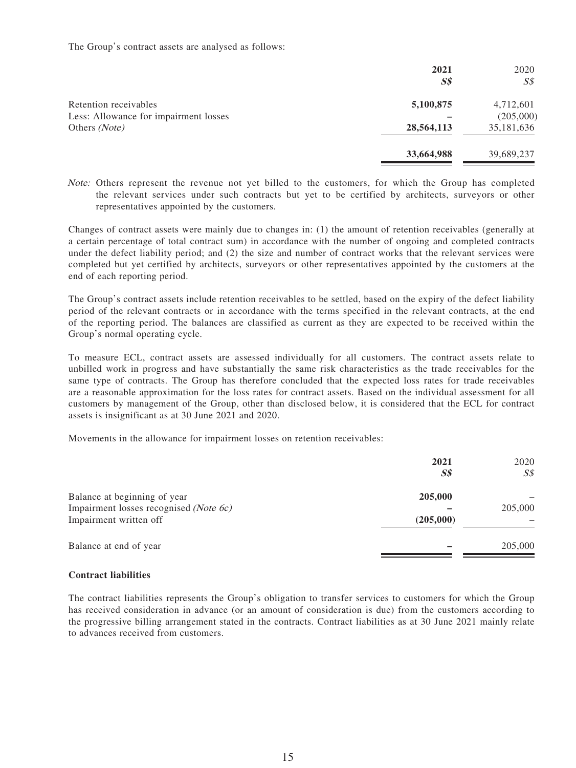The Group's contract assets are analysed as follows:

|                                       | 2021<br>S <sub>s</sub> | 2020<br>S <sub>s</sub> |
|---------------------------------------|------------------------|------------------------|
| Retention receivables                 | 5,100,875              | 4,712,601              |
| Less: Allowance for impairment losses |                        | (205,000)              |
| Others (Note)                         | 28,564,113             | 35,181,636             |
|                                       | 33,664,988             | 39,689,237             |

Note: Others represent the revenue not yet billed to the customers, for which the Group has completed the relevant services under such contracts but yet to be certified by architects, surveyors or other representatives appointed by the customers.

Changes of contract assets were mainly due to changes in: (1) the amount of retention receivables (generally at a certain percentage of total contract sum) in accordance with the number of ongoing and completed contracts under the defect liability period; and (2) the size and number of contract works that the relevant services were completed but yet certified by architects, surveyors or other representatives appointed by the customers at the end of each reporting period.

The Group's contract assets include retention receivables to be settled, based on the expiry of the defect liability period of the relevant contracts or in accordance with the terms specified in the relevant contracts, at the end of the reporting period. The balances are classified as current as they are expected to be received within the Group's normal operating cycle.

To measure ECL, contract assets are assessed individually for all customers. The contract assets relate to unbilled work in progress and have substantially the same risk characteristics as the trade receivables for the same type of contracts. The Group has therefore concluded that the expected loss rates for trade receivables are a reasonable approximation for the loss rates for contract assets. Based on the individual assessment for all customers by management of the Group, other than disclosed below, it is considered that the ECL for contract assets is insignificant as at 30 June 2021 and 2020.

Movements in the allowance for impairment losses on retention receivables:

|                                                                                                  | 2021<br>$S\$         | 2020<br>$S\mathcal{S}$ |
|--------------------------------------------------------------------------------------------------|----------------------|------------------------|
| Balance at beginning of year<br>Impairment losses recognised (Note 6c)<br>Impairment written off | 205,000<br>(205,000) | 205,000                |
| Balance at end of year                                                                           |                      | 205,000                |

## **Contract liabilities**

The contract liabilities represents the Group's obligation to transfer services to customers for which the Group has received consideration in advance (or an amount of consideration is due) from the customers according to the progressive billing arrangement stated in the contracts. Contract liabilities as at 30 June 2021 mainly relate to advances received from customers.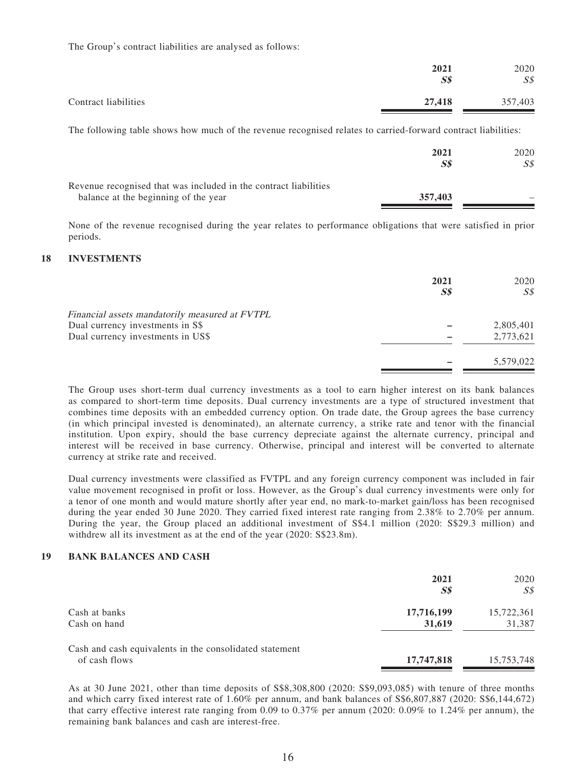The Group's contract liabilities are analysed as follows:

|                      | 2021<br>$S\$ | 2020<br>$S\mathcal{S}$ |
|----------------------|--------------|------------------------|
| Contract liabilities | 27,418       | 357,403                |

The following table shows how much of the revenue recognised relates to carried-forward contract liabilities:

|                                                                                                          | 2021<br>$S\mathcal{S}$ | 2020<br>S\$ |
|----------------------------------------------------------------------------------------------------------|------------------------|-------------|
| Revenue recognised that was included in the contract liabilities<br>balance at the beginning of the year | 357,403                |             |

None of the revenue recognised during the year relates to performance obligations that were satisfied in prior periods.

#### **18 INVESTMENTS**

|                                                | 2021<br>$S\$ | 2020<br>$S\mathcal{S}$ |
|------------------------------------------------|--------------|------------------------|
| Financial assets mandatorily measured at FVTPL |              |                        |
| Dual currency investments in S\$               |              | 2,805,401              |
| Dual currency investments in US\$              |              | 2,773,621              |
|                                                |              | 5,579,022              |

The Group uses short-term dual currency investments as a tool to earn higher interest on its bank balances as compared to short-term time deposits. Dual currency investments are a type of structured investment that combines time deposits with an embedded currency option. On trade date, the Group agrees the base currency (in which principal invested is denominated), an alternate currency, a strike rate and tenor with the financial institution. Upon expiry, should the base currency depreciate against the alternate currency, principal and interest will be received in base currency. Otherwise, principal and interest will be converted to alternate currency at strike rate and received.

Dual currency investments were classified as FVTPL and any foreign currency component was included in fair value movement recognised in profit or loss. However, as the Group's dual currency investments were only for a tenor of one month and would mature shortly after year end, no mark-to-market gain/loss has been recognised during the year ended 30 June 2020. They carried fixed interest rate ranging from 2.38% to 2.70% per annum. During the year, the Group placed an additional investment of S\$4.1 million (2020: S\$29.3 million) and withdrew all its investment as at the end of the year (2020: S\$23.8m).

#### **19 BANK BALANCES AND CASH**

|                                                                          | 2021<br>S <sub>s</sub> | 2020<br>SS           |
|--------------------------------------------------------------------------|------------------------|----------------------|
| Cash at banks<br>Cash on hand                                            | 17,716,199<br>31,619   | 15,722,361<br>31,387 |
| Cash and cash equivalents in the consolidated statement<br>of cash flows | 17,747,818             | 15,753,748           |

As at 30 June 2021, other than time deposits of S\$8,308,800 (2020: S\$9,093,085) with tenure of three months and which carry fixed interest rate of 1.60% per annum, and bank balances of S\$6,807,887 (2020: S\$6,144,672) that carry effective interest rate ranging from 0.09 to 0.37% per annum (2020: 0.09% to 1.24% per annum), the remaining bank balances and cash are interest-free.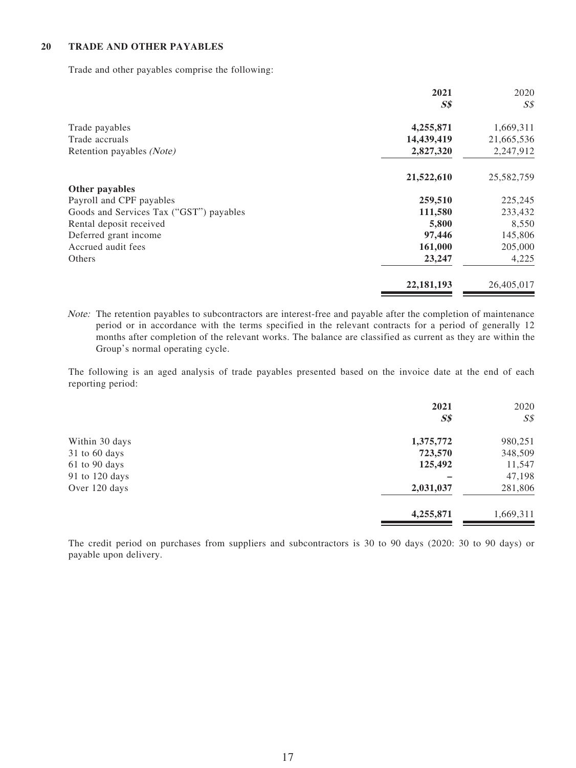### **20 TRADE AND OTHER PAYABLES**

Trade and other payables comprise the following:

|                                         | 2021         | 2020       |
|-----------------------------------------|--------------|------------|
|                                         | $S\$         | S\$        |
| Trade payables                          | 4,255,871    | 1,669,311  |
| Trade accruals                          | 14,439,419   | 21,665,536 |
| Retention payables (Note)               | 2,827,320    | 2,247,912  |
|                                         | 21,522,610   | 25,582,759 |
| Other payables                          |              |            |
| Payroll and CPF payables                | 259,510      | 225,245    |
| Goods and Services Tax ("GST") payables | 111,580      | 233,432    |
| Rental deposit received                 | 5,800        | 8,550      |
| Deferred grant income                   | 97,446       | 145,806    |
| Accrued audit fees                      | 161,000      | 205,000    |
| Others                                  | 23,247       | 4,225      |
|                                         | 22, 181, 193 | 26,405,017 |

Note: The retention payables to subcontractors are interest-free and payable after the completion of maintenance period or in accordance with the terms specified in the relevant contracts for a period of generally 12 months after completion of the relevant works. The balance are classified as current as they are within the Group's normal operating cycle.

The following is an aged analysis of trade payables presented based on the invoice date at the end of each reporting period:

|                 | 2021<br>S <sub>s</sub> | 2020<br>$S\mathcal{S}$ |
|-----------------|------------------------|------------------------|
| Within 30 days  | 1,375,772              | 980,251                |
| $31$ to 60 days | 723,570                | 348,509                |
| 61 to 90 days   | 125,492                | 11,547                 |
| 91 to 120 days  |                        | 47,198                 |
| Over 120 days   | 2,031,037              | 281,806                |
|                 | 4,255,871              | 1,669,311              |

The credit period on purchases from suppliers and subcontractors is 30 to 90 days (2020: 30 to 90 days) or payable upon delivery.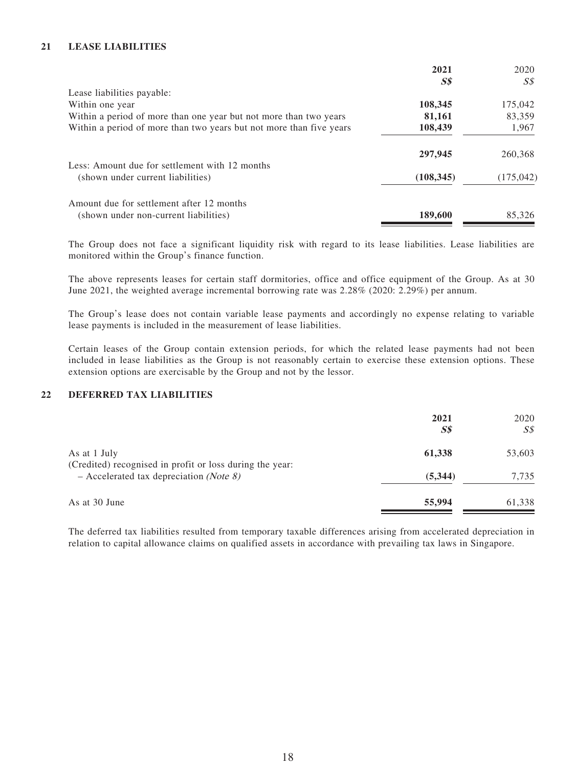## **21 LEASE LIABILITIES**

| 2021                           | 2020       |
|--------------------------------|------------|
| $\boldsymbol{S}\boldsymbol{S}$ | S\$        |
|                                |            |
| 108,345                        | 175,042    |
| 81,161                         | 83,359     |
| 108,439                        | 1,967      |
| 297,945                        | 260,368    |
| (108, 345)                     | (175, 042) |
| 189,600                        | 85,326     |
|                                |            |

The Group does not face a significant liquidity risk with regard to its lease liabilities. Lease liabilities are monitored within the Group's finance function.

The above represents leases for certain staff dormitories, office and office equipment of the Group. As at 30 June 2021, the weighted average incremental borrowing rate was 2.28% (2020: 2.29%) per annum.

The Group's lease does not contain variable lease payments and accordingly no expense relating to variable lease payments is included in the measurement of lease liabilities.

Certain leases of the Group contain extension periods, for which the related lease payments had not been included in lease liabilities as the Group is not reasonably certain to exercise these extension options. These extension options are exercisable by the Group and not by the lessor.

## **22 DEFERRED TAX LIABILITIES**

|                                                                                                                | 2021<br>$S\$ | 2020<br>SS |
|----------------------------------------------------------------------------------------------------------------|--------------|------------|
| As at 1 July                                                                                                   | 61,338       | 53,603     |
| (Credited) recognised in profit or loss during the year:<br>$-$ Accelerated tax depreciation ( <i>Note 8</i> ) | (5,344)      | 7,735      |
| As at 30 June                                                                                                  | 55,994       | 61,338     |

The deferred tax liabilities resulted from temporary taxable differences arising from accelerated depreciation in relation to capital allowance claims on qualified assets in accordance with prevailing tax laws in Singapore.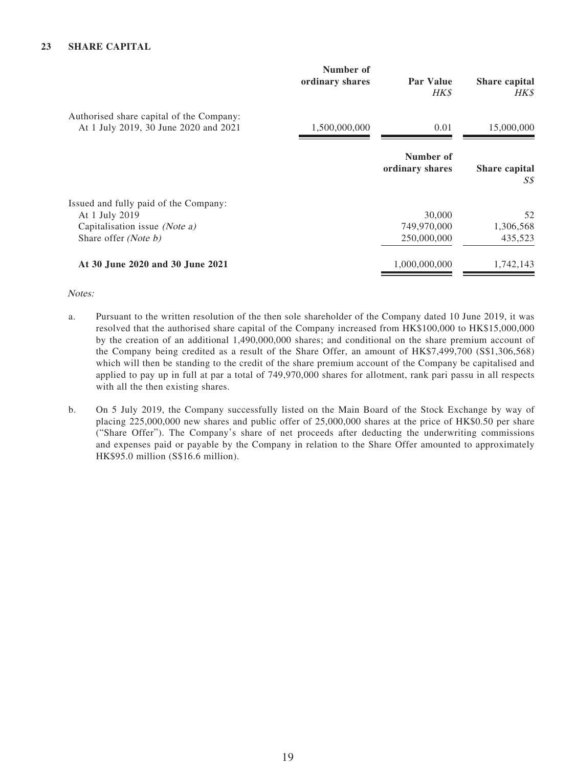|                                                                                                                  | Number of<br>ordinary shares | <b>Par Value</b><br>HK\$             | Share capital<br>HK\$      |
|------------------------------------------------------------------------------------------------------------------|------------------------------|--------------------------------------|----------------------------|
| Authorised share capital of the Company:<br>At 1 July 2019, 30 June 2020 and 2021                                | 1,500,000,000                | 0.01                                 | 15,000,000                 |
|                                                                                                                  |                              | Number of<br>ordinary shares         | Share capital<br>SS        |
| Issued and fully paid of the Company:<br>At 1 July 2019<br>Capitalisation issue (Note a)<br>Share offer (Note b) |                              | 30,000<br>749,970,000<br>250,000,000 | 52<br>1,306,568<br>435,523 |
| At 30 June 2020 and 30 June 2021                                                                                 |                              | 1,000,000,000                        | 1,742,143                  |

### Notes:

- a. Pursuant to the written resolution of the then sole shareholder of the Company dated 10 June 2019, it was resolved that the authorised share capital of the Company increased from HK\$100,000 to HK\$15,000,000 by the creation of an additional 1,490,000,000 shares; and conditional on the share premium account of the Company being credited as a result of the Share Offer, an amount of HK\$7,499,700 (S\$1,306,568) which will then be standing to the credit of the share premium account of the Company be capitalised and applied to pay up in full at par a total of 749,970,000 shares for allotment, rank pari passu in all respects with all the then existing shares.
- b. On 5 July 2019, the Company successfully listed on the Main Board of the Stock Exchange by way of placing 225,000,000 new shares and public offer of 25,000,000 shares at the price of HK\$0.50 per share ("Share Offer"). The Company's share of net proceeds after deducting the underwriting commissions and expenses paid or payable by the Company in relation to the Share Offer amounted to approximately HK\$95.0 million (S\$16.6 million).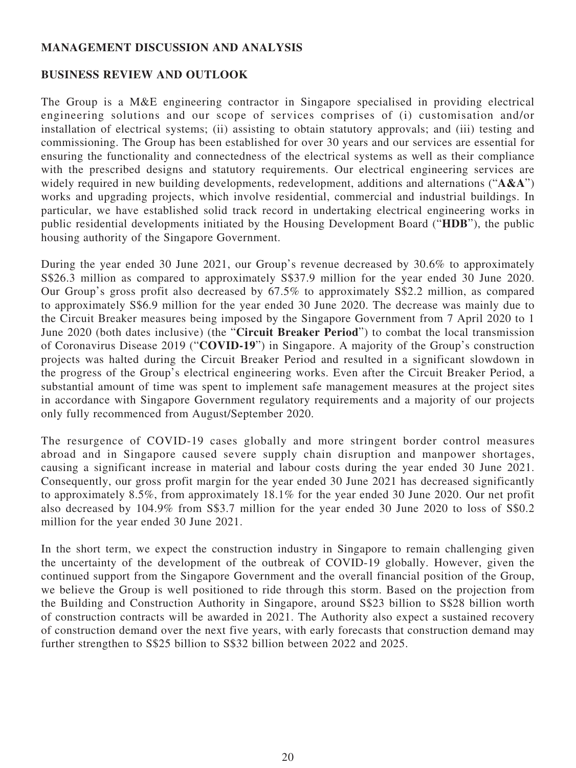# **MANAGEMENT DISCUSSION AND ANALYSIS**

# **BUSINESS REVIEW AND OUTLOOK**

The Group is a M&E engineering contractor in Singapore specialised in providing electrical engineering solutions and our scope of services comprises of (i) customisation and/or installation of electrical systems; (ii) assisting to obtain statutory approvals; and (iii) testing and commissioning. The Group has been established for over 30 years and our services are essential for ensuring the functionality and connectedness of the electrical systems as well as their compliance with the prescribed designs and statutory requirements. Our electrical engineering services are widely required in new building developments, redevelopment, additions and alternations ("A&A") works and upgrading projects, which involve residential, commercial and industrial buildings. In particular, we have established solid track record in undertaking electrical engineering works in public residential developments initiated by the Housing Development Board ("**HDB**"), the public housing authority of the Singapore Government.

During the year ended 30 June 2021, our Group's revenue decreased by 30.6% to approximately S\$26.3 million as compared to approximately S\$37.9 million for the year ended 30 June 2020. Our Group's gross profit also decreased by 67.5% to approximately S\$2.2 million, as compared to approximately S\$6.9 million for the year ended 30 June 2020. The decrease was mainly due to the Circuit Breaker measures being imposed by the Singapore Government from 7 April 2020 to 1 June 2020 (both dates inclusive) (the "**Circuit Breaker Period**") to combat the local transmission of Coronavirus Disease 2019 ("**COVID-19**") in Singapore. A majority of the Group's construction projects was halted during the Circuit Breaker Period and resulted in a significant slowdown in the progress of the Group's electrical engineering works. Even after the Circuit Breaker Period, a substantial amount of time was spent to implement safe management measures at the project sites in accordance with Singapore Government regulatory requirements and a majority of our projects only fully recommenced from August/September 2020.

The resurgence of COVID-19 cases globally and more stringent border control measures abroad and in Singapore caused severe supply chain disruption and manpower shortages, causing a significant increase in material and labour costs during the year ended 30 June 2021. Consequently, our gross profit margin for the year ended 30 June 2021 has decreased significantly to approximately 8.5%, from approximately 18.1% for the year ended 30 June 2020. Our net profit also decreased by 104.9% from S\$3.7 million for the year ended 30 June 2020 to loss of S\$0.2 million for the year ended 30 June 2021.

In the short term, we expect the construction industry in Singapore to remain challenging given the uncertainty of the development of the outbreak of COVID-19 globally. However, given the continued support from the Singapore Government and the overall financial position of the Group, we believe the Group is well positioned to ride through this storm. Based on the projection from the Building and Construction Authority in Singapore, around S\$23 billion to S\$28 billion worth of construction contracts will be awarded in 2021. The Authority also expect a sustained recovery of construction demand over the next five years, with early forecasts that construction demand may further strengthen to S\$25 billion to S\$32 billion between 2022 and 2025.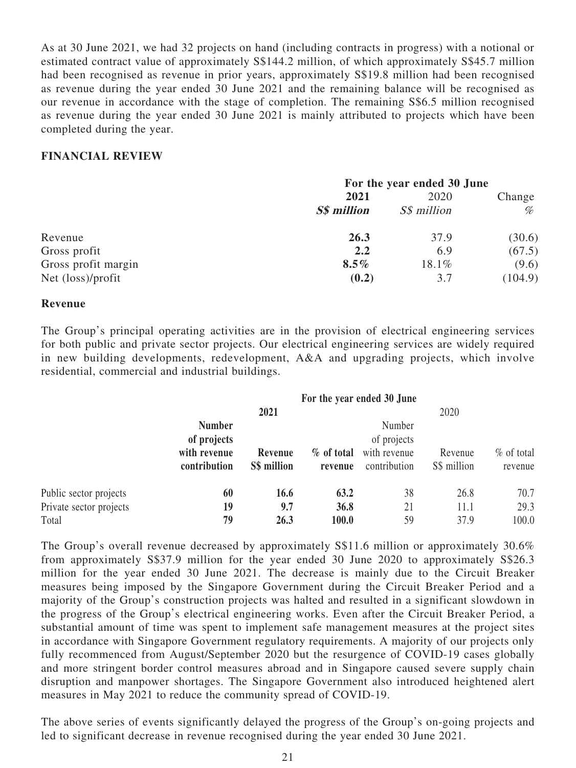As at 30 June 2021, we had 32 projects on hand (including contracts in progress) with a notional or estimated contract value of approximately S\$144.2 million, of which approximately S\$45.7 million had been recognised as revenue in prior years, approximately S\$19.8 million had been recognised as revenue during the year ended 30 June 2021 and the remaining balance will be recognised as our revenue in accordance with the stage of completion. The remaining S\$6.5 million recognised as revenue during the year ended 30 June 2021 is mainly attributed to projects which have been completed during the year.

## **FINANCIAL REVIEW**

|                     | For the year ended 30 June |                    |         |  |
|---------------------|----------------------------|--------------------|---------|--|
|                     | 2021                       | 2020               | Change  |  |
|                     | <b>S\$</b> million         | <i>S\$ million</i> | %       |  |
| Revenue             | 26.3                       | 37.9               | (30.6)  |  |
| Gross profit        | 2.2                        | 6.9                | (67.5)  |  |
| Gross profit margin | $8.5\%$                    | 18.1%              | (9.6)   |  |
| Net (loss)/profit   | (0.2)                      | 3.7                | (104.9) |  |

## **Revenue**

The Group's principal operating activities are in the provision of electrical engineering services for both public and private sector projects. Our electrical engineering services are widely required in new building developments, redevelopment, A&A and upgrading projects, which involve residential, commercial and industrial buildings.

|                                                            |                                                              | 2021                   |                       | For the year ended 30 June                            | 2020                   |                         |  |
|------------------------------------------------------------|--------------------------------------------------------------|------------------------|-----------------------|-------------------------------------------------------|------------------------|-------------------------|--|
|                                                            | <b>Number</b><br>of projects<br>with revenue<br>contribution | Revenue<br>S\$ million | % of total<br>revenue | Number<br>of projects<br>with revenue<br>contribution | Revenue<br>S\$ million | $%$ of total<br>revenue |  |
| Public sector projects<br>Private sector projects<br>Total | 60<br>19<br>79                                               | 16.6<br>9.7<br>26.3    | 63.2<br>36.8<br>100.0 | 38<br>21<br>59                                        | 26.8<br>11.1<br>37.9   | 70.7<br>29.3<br>100.0   |  |

The Group's overall revenue decreased by approximately S\$11.6 million or approximately 30.6% from approximately S\$37.9 million for the year ended 30 June 2020 to approximately S\$26.3 million for the year ended 30 June 2021. The decrease is mainly due to the Circuit Breaker measures being imposed by the Singapore Government during the Circuit Breaker Period and a majority of the Group's construction projects was halted and resulted in a significant slowdown in the progress of the Group's electrical engineering works. Even after the Circuit Breaker Period, a substantial amount of time was spent to implement safe management measures at the project sites in accordance with Singapore Government regulatory requirements. A majority of our projects only fully recommenced from August/September 2020 but the resurgence of COVID-19 cases globally and more stringent border control measures abroad and in Singapore caused severe supply chain disruption and manpower shortages. The Singapore Government also introduced heightened alert measures in May 2021 to reduce the community spread of COVID-19.

The above series of events significantly delayed the progress of the Group's on-going projects and led to significant decrease in revenue recognised during the year ended 30 June 2021.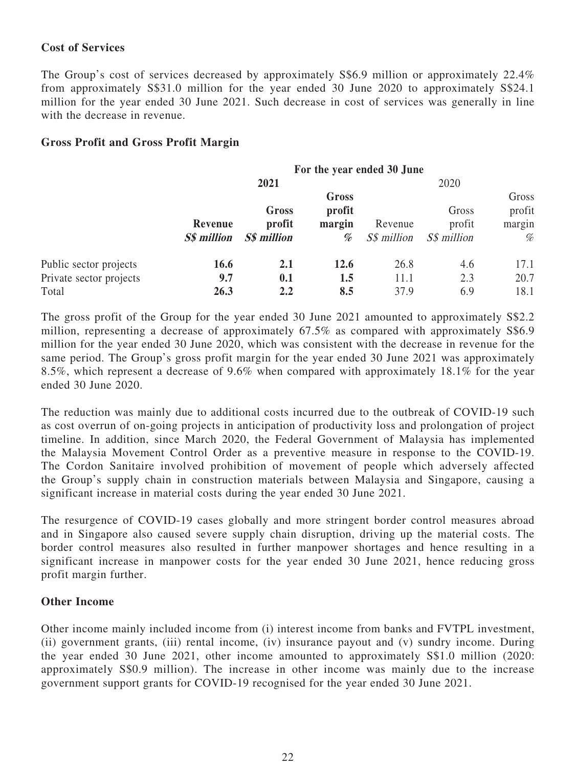# **Cost of Services**

The Group's cost of services decreased by approximately S\$6.9 million or approximately 22.4% from approximately S\$31.0 million for the year ended 30 June 2020 to approximately S\$24.1 million for the year ended 30 June 2021. Such decrease in cost of services was generally in line with the decrease in revenue.

# **Gross Profit and Gross Profit Margin**

|                                                            | For the year ended 30 June    |                                |                                |                        |                                |                                |
|------------------------------------------------------------|-------------------------------|--------------------------------|--------------------------------|------------------------|--------------------------------|--------------------------------|
|                                                            |                               | 2021                           |                                |                        | 2020                           |                                |
|                                                            | Revenue<br><b>S\$</b> million | Gross<br>profit<br>S\$ million | Gross<br>profit<br>margin<br>% | Revenue<br>S\$ million | Gross<br>profit<br>S\$ million | Gross<br>profit<br>margin<br>% |
| Public sector projects<br>Private sector projects<br>Total | 16.6<br>9.7<br>26.3           | 2.1<br>0.1<br>2.2              | 12.6<br>1.5<br>8.5             | 26.8<br>11.1<br>37.9   | 4.6<br>2.3<br>6.9              | 17.1<br>20.7<br>18.1           |

The gross profit of the Group for the year ended 30 June 2021 amounted to approximately S\$2.2 million, representing a decrease of approximately 67.5% as compared with approximately S\$6.9 million for the year ended 30 June 2020, which was consistent with the decrease in revenue for the same period. The Group's gross profit margin for the year ended 30 June 2021 was approximately 8.5%, which represent a decrease of 9.6% when compared with approximately 18.1% for the year ended 30 June 2020.

The reduction was mainly due to additional costs incurred due to the outbreak of COVID-19 such as cost overrun of on-going projects in anticipation of productivity loss and prolongation of project timeline. In addition, since March 2020, the Federal Government of Malaysia has implemented the Malaysia Movement Control Order as a preventive measure in response to the COVID-19. The Cordon Sanitaire involved prohibition of movement of people which adversely affected the Group's supply chain in construction materials between Malaysia and Singapore, causing a significant increase in material costs during the year ended 30 June 2021.

The resurgence of COVID-19 cases globally and more stringent border control measures abroad and in Singapore also caused severe supply chain disruption, driving up the material costs. The border control measures also resulted in further manpower shortages and hence resulting in a significant increase in manpower costs for the year ended 30 June 2021, hence reducing gross profit margin further.

# **Other Income**

Other income mainly included income from (i) interest income from banks and FVTPL investment, (ii) government grants, (iii) rental income, (iv) insurance payout and (v) sundry income. During the year ended 30 June 2021, other income amounted to approximately S\$1.0 million (2020: approximately S\$0.9 million). The increase in other income was mainly due to the increase government support grants for COVID-19 recognised for the year ended 30 June 2021.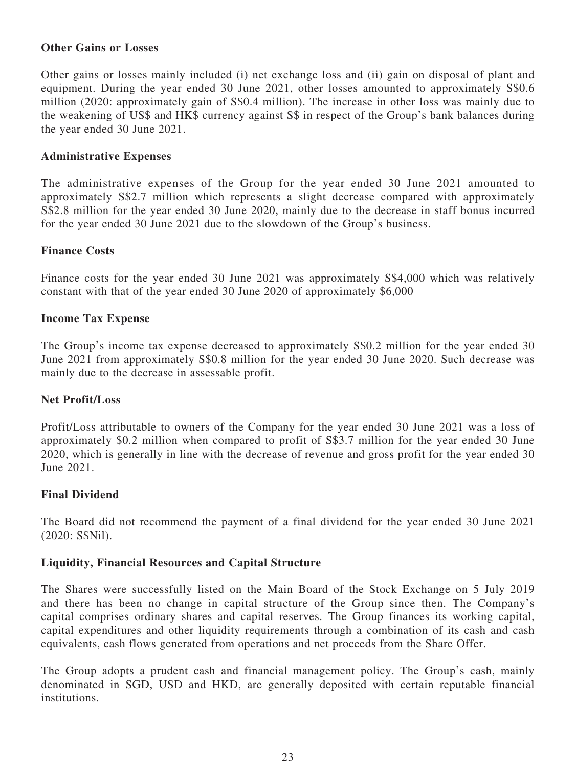# **Other Gains or Losses**

Other gains or losses mainly included (i) net exchange loss and (ii) gain on disposal of plant and equipment. During the year ended 30 June 2021, other losses amounted to approximately S\$0.6 million (2020: approximately gain of S\$0.4 million). The increase in other loss was mainly due to the weakening of US\$ and HK\$ currency against S\$ in respect of the Group's bank balances during the year ended 30 June 2021.

# **Administrative Expenses**

The administrative expenses of the Group for the year ended 30 June 2021 amounted to approximately S\$2.7 million which represents a slight decrease compared with approximately S\$2.8 million for the year ended 30 June 2020, mainly due to the decrease in staff bonus incurred for the year ended 30 June 2021 due to the slowdown of the Group's business.

# **Finance Costs**

Finance costs for the year ended 30 June 2021 was approximately S\$4,000 which was relatively constant with that of the year ended 30 June 2020 of approximately \$6,000

# **Income Tax Expense**

The Group's income tax expense decreased to approximately S\$0.2 million for the year ended 30 June 2021 from approximately S\$0.8 million for the year ended 30 June 2020. Such decrease was mainly due to the decrease in assessable profit.

## **Net Profit/Loss**

Profit/Loss attributable to owners of the Company for the year ended 30 June 2021 was a loss of approximately \$0.2 million when compared to profit of S\$3.7 million for the year ended 30 June 2020, which is generally in line with the decrease of revenue and gross profit for the year ended 30 June 2021.

# **Final Dividend**

The Board did not recommend the payment of a final dividend for the year ended 30 June 2021 (2020: S\$Nil).

## **Liquidity, Financial Resources and Capital Structure**

The Shares were successfully listed on the Main Board of the Stock Exchange on 5 July 2019 and there has been no change in capital structure of the Group since then. The Company's capital comprises ordinary shares and capital reserves. The Group finances its working capital, capital expenditures and other liquidity requirements through a combination of its cash and cash equivalents, cash flows generated from operations and net proceeds from the Share Offer.

The Group adopts a prudent cash and financial management policy. The Group's cash, mainly denominated in SGD, USD and HKD, are generally deposited with certain reputable financial institutions.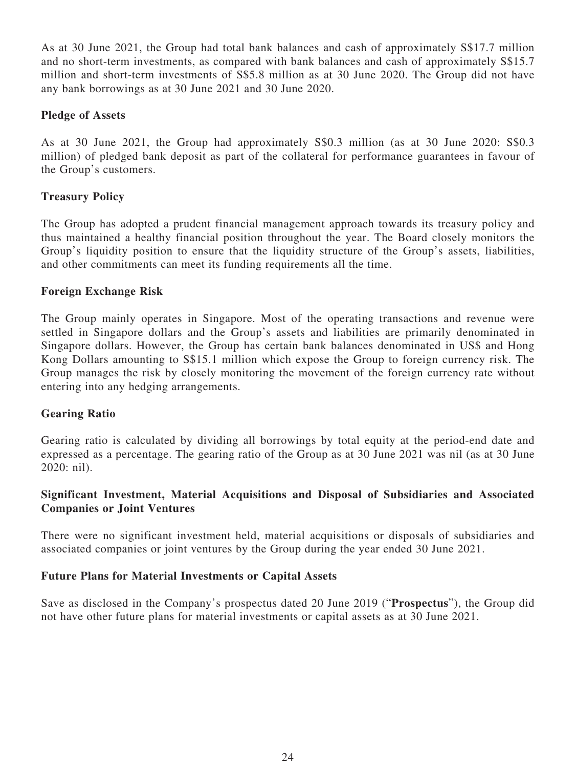As at 30 June 2021, the Group had total bank balances and cash of approximately S\$17.7 million and no short-term investments, as compared with bank balances and cash of approximately S\$15.7 million and short-term investments of S\$5.8 million as at 30 June 2020. The Group did not have any bank borrowings as at 30 June 2021 and 30 June 2020.

# **Pledge of Assets**

As at 30 June 2021, the Group had approximately S\$0.3 million (as at 30 June 2020: S\$0.3 million) of pledged bank deposit as part of the collateral for performance guarantees in favour of the Group's customers.

# **Treasury Policy**

The Group has adopted a prudent financial management approach towards its treasury policy and thus maintained a healthy financial position throughout the year. The Board closely monitors the Group's liquidity position to ensure that the liquidity structure of the Group's assets, liabilities, and other commitments can meet its funding requirements all the time.

# **Foreign Exchange Risk**

The Group mainly operates in Singapore. Most of the operating transactions and revenue were settled in Singapore dollars and the Group's assets and liabilities are primarily denominated in Singapore dollars. However, the Group has certain bank balances denominated in US\$ and Hong Kong Dollars amounting to S\$15.1 million which expose the Group to foreign currency risk. The Group manages the risk by closely monitoring the movement of the foreign currency rate without entering into any hedging arrangements.

# **Gearing Ratio**

Gearing ratio is calculated by dividing all borrowings by total equity at the period-end date and expressed as a percentage. The gearing ratio of the Group as at 30 June 2021 was nil (as at 30 June 2020: nil).

# **Significant Investment, Material Acquisitions and Disposal of Subsidiaries and Associated Companies or Joint Ventures**

There were no significant investment held, material acquisitions or disposals of subsidiaries and associated companies or joint ventures by the Group during the year ended 30 June 2021.

## **Future Plans for Material Investments or Capital Assets**

Save as disclosed in the Company's prospectus dated 20 June 2019 ("**Prospectus**"), the Group did not have other future plans for material investments or capital assets as at 30 June 2021.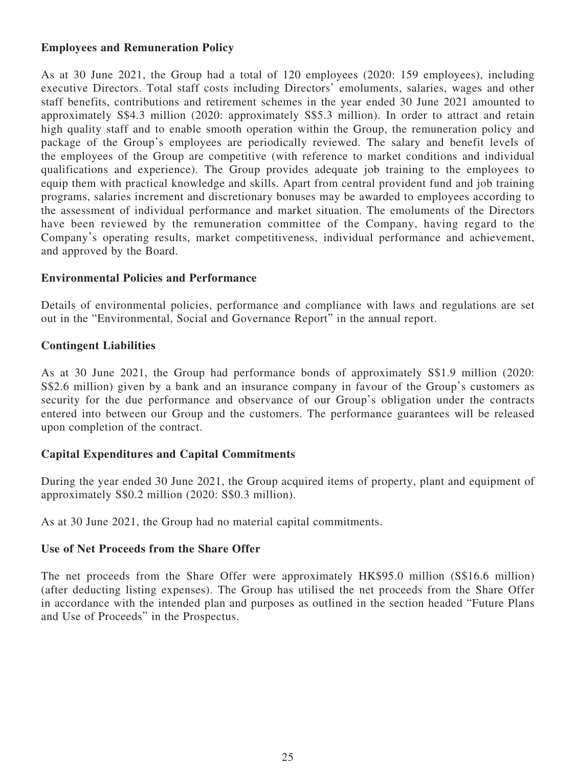# **Employees and Remuneration Policy**

As at 30 June 2021, the Group had a total of 120 employees (2020: 159 employees), including executive Directors. Total staff costs including Directors' emoluments, salaries, wages and other staff benefits, contributions and retirement schemes in the year ended 30 June 2021 amounted to approximately S\$4.3 million (2020: approximately S\$5.3 million). In order to attract and retain high quality staff and to enable smooth operation within the Group, the remuneration policy and package of the Group's employees are periodically reviewed. The salary and benefit levels of the employees of the Group are competitive (with reference to market conditions and individual qualifications and experience). The Group provides adequate job training to the employees to equip them with practical knowledge and skills. Apart from central provident fund and job training programs, salaries increment and discretionary bonuses may be awarded to employees according to the assessment of individual performance and market situation. The emoluments of the Directors have been reviewed by the remuneration committee of the Company, having regard to the Company's operating results, market competitiveness, individual performance and achievement, and approved by the Board.

## **Environmental Policies and Performance**

Details of environmental policies, performance and compliance with laws and regulations are set out in the "Environmental, Social and Governance Report" in the annual report.

# **Contingent Liabilities**

As at 30 June 2021, the Group had performance bonds of approximately S\$1.9 million (2020: S\$2.6 million) given by a bank and an insurance company in favour of the Group's customers as security for the due performance and observance of our Group's obligation under the contracts entered into between our Group and the customers. The performance guarantees will be released upon completion of the contract.

# **Capital Expenditures and Capital Commitments**

During the year ended 30 June 2021, the Group acquired items of property, plant and equipment of approximately S\$0.2 million (2020: S\$0.3 million).

As at 30 June 2021, the Group had no material capital commitments.

# **Use of Net Proceeds from the Share Offer**

The net proceeds from the Share Offer were approximately HK\$95.0 million (S\$16.6 million) (after deducting listing expenses). The Group has utilised the net proceeds from the Share Offer in accordance with the intended plan and purposes as outlined in the section headed "Future Plans and Use of Proceeds" in the Prospectus.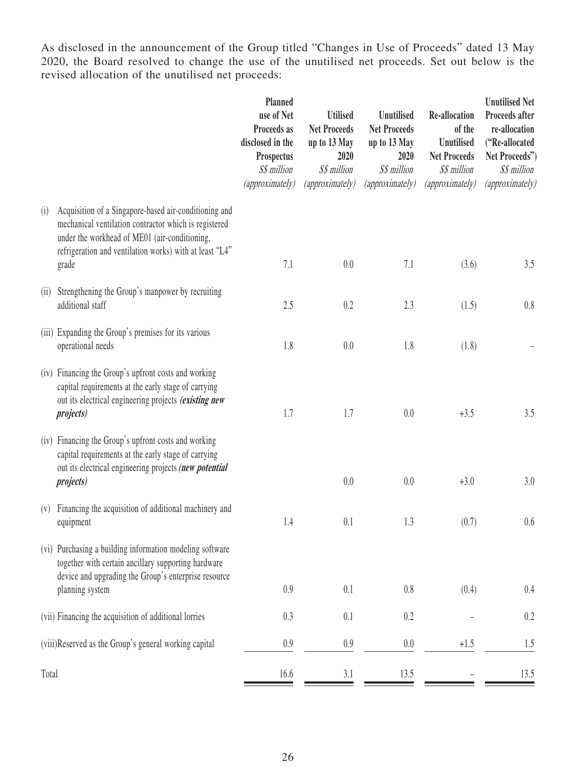As disclosed in the announcement of the Group titled "Changes in Use of Proceeds" dated 13 May 2020, the Board resolved to change the use of the unutilised net proceeds. Set out below is the revised allocation of the unutilised net proceeds:

|       |                                                                                                                                                                                                                                     | Planned<br>use of Net<br>Proceeds as<br>disclosed in the<br>Prospectus<br>S\$ million<br>(approximately) | <b>Utilised</b><br><b>Net Proceeds</b><br>up to 13 May<br>2020<br>S\$ million<br>(approximately) | <b>Unutilised</b><br><b>Net Proceeds</b><br>up to 13 May<br>2020<br>S\$ million<br>(approximately) | <b>Re-allocation</b><br>of the<br><b>Unutilised</b><br><b>Net Proceeds</b><br>S\$ million<br>(approximately) | <b>Unutilised Net</b><br>Proceeds after<br>re-allocation<br>("Re-allocated<br>Net Proceeds")<br>S\$ million<br>(approximately) |
|-------|-------------------------------------------------------------------------------------------------------------------------------------------------------------------------------------------------------------------------------------|----------------------------------------------------------------------------------------------------------|--------------------------------------------------------------------------------------------------|----------------------------------------------------------------------------------------------------|--------------------------------------------------------------------------------------------------------------|--------------------------------------------------------------------------------------------------------------------------------|
| (i)   | Acquisition of a Singapore-based air-conditioning and<br>mechanical ventilation contractor which is registered<br>under the workhead of ME01 (air-conditioning,<br>refrigeration and ventilation works) with at least "L4"<br>grade | 7.1                                                                                                      | 0.0                                                                                              | 7.1                                                                                                | (3.6)                                                                                                        | 3.5                                                                                                                            |
| (ii)  | Strengthening the Group's manpower by recruiting<br>additional staff                                                                                                                                                                | 2.5                                                                                                      | 0.2                                                                                              | 2.3                                                                                                | (1.5)                                                                                                        | 0.8                                                                                                                            |
|       | (iii) Expanding the Group's premises for its various<br>operational needs                                                                                                                                                           | 1.8                                                                                                      | 0.0                                                                                              | 1.8                                                                                                | (1.8)                                                                                                        |                                                                                                                                |
|       | (iv) Financing the Group's upfront costs and working<br>capital requirements at the early stage of carrying<br>out its electrical engineering projects (existing new<br><i>projects</i> )                                           | 1.7                                                                                                      | 1.7                                                                                              | 0.0                                                                                                | $+3.5$                                                                                                       | 3.5                                                                                                                            |
|       | (iv) Financing the Group's upfront costs and working<br>capital requirements at the early stage of carrying<br>out its electrical engineering projects (new potential<br><i>projects</i> )                                          |                                                                                                          | 0.0                                                                                              | 0.0                                                                                                | $+3.0$                                                                                                       | 3.0                                                                                                                            |
| (V)   | Financing the acquisition of additional machinery and<br>equipment                                                                                                                                                                  | 1.4                                                                                                      | 0.1                                                                                              | 1.3                                                                                                | (0.7)                                                                                                        | 0.6                                                                                                                            |
|       | (vi) Purchasing a building information modeling software<br>together with certain ancillary supporting hardware<br>device and upgrading the Group's enterprise resource<br>planning system                                          | 0.9                                                                                                      | 0.1                                                                                              | 0.8                                                                                                | (0.4)                                                                                                        | 0.4                                                                                                                            |
|       | (vii) Financing the acquisition of additional lorries                                                                                                                                                                               | 0.3                                                                                                      | 0.1                                                                                              | 0.2                                                                                                |                                                                                                              | 0.2                                                                                                                            |
|       | (viii)Reserved as the Group's general working capital                                                                                                                                                                               | 0.9                                                                                                      | 0.9                                                                                              | $0.0\,$                                                                                            | $+1.5$                                                                                                       | 1.5                                                                                                                            |
| Total |                                                                                                                                                                                                                                     | 16.6                                                                                                     | 3.1                                                                                              | 13.5                                                                                               |                                                                                                              | 13.5                                                                                                                           |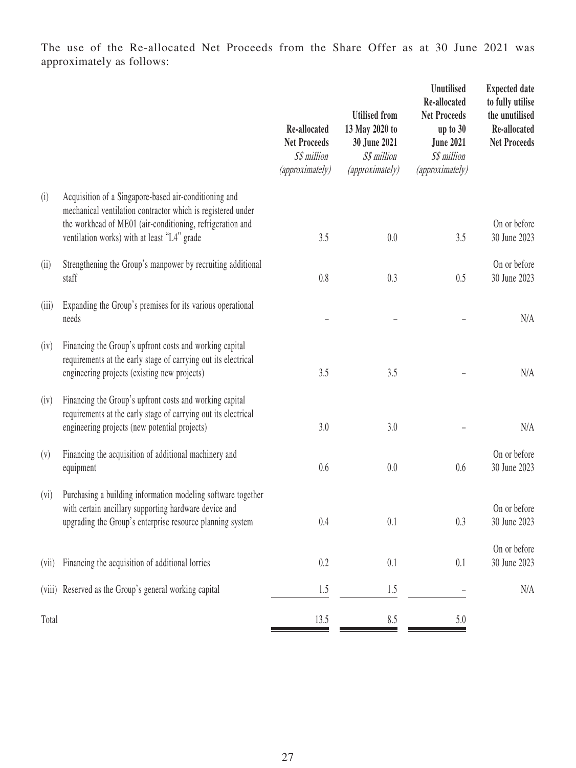The use of the Re-allocated Net Proceeds from the Share Offer as at 30 June 2021 was approximately as follows:

|       |                                                                                                                                                                                                                                  | Re-allocated<br><b>Net Proceeds</b><br>S\$ million<br>(approximately) | <b>Utilised</b> from<br>13 May 2020 to<br>30 June 2021<br>S\$ million<br>(approximately) | <b>Unutilised</b><br>Re-allocated<br><b>Net Proceeds</b><br>up to $30$<br><b>June 2021</b><br>S\$ million<br>(approximately) | <b>Expected date</b><br>to fully utilise<br>the unutilised<br>Re-allocated<br><b>Net Proceeds</b> |
|-------|----------------------------------------------------------------------------------------------------------------------------------------------------------------------------------------------------------------------------------|-----------------------------------------------------------------------|------------------------------------------------------------------------------------------|------------------------------------------------------------------------------------------------------------------------------|---------------------------------------------------------------------------------------------------|
| (i)   | Acquisition of a Singapore-based air-conditioning and<br>mechanical ventilation contractor which is registered under<br>the workhead of ME01 (air-conditioning, refrigeration and<br>ventilation works) with at least "L4" grade | 3.5                                                                   | 0.0                                                                                      | 3.5                                                                                                                          | On or before<br>30 June 2023                                                                      |
| (ii)  | Strengthening the Group's manpower by recruiting additional<br>staff                                                                                                                                                             | 0.8                                                                   | 0.3                                                                                      | 0.5                                                                                                                          | On or before<br>30 June 2023                                                                      |
| (iii) | Expanding the Group's premises for its various operational<br>needs                                                                                                                                                              |                                                                       |                                                                                          |                                                                                                                              | N/A                                                                                               |
| (iv)  | Financing the Group's upfront costs and working capital<br>requirements at the early stage of carrying out its electrical<br>engineering projects (existing new projects)                                                        | 3.5                                                                   | 3.5                                                                                      |                                                                                                                              | N/A                                                                                               |
| (iv)  | Financing the Group's upfront costs and working capital<br>requirements at the early stage of carrying out its electrical<br>engineering projects (new potential projects)                                                       | 3.0                                                                   | 3.0                                                                                      |                                                                                                                              | N/A                                                                                               |
| (v)   | Financing the acquisition of additional machinery and<br>equipment                                                                                                                                                               | 0.6                                                                   | 0.0                                                                                      | 0.6                                                                                                                          | On or before<br>30 June 2023                                                                      |
| (vi)  | Purchasing a building information modeling software together<br>with certain ancillary supporting hardware device and<br>upgrading the Group's enterprise resource planning system                                               | 0.4                                                                   | 0.1                                                                                      | 0.3                                                                                                                          | On or before<br>30 June 2023                                                                      |
| (vii) | Financing the acquisition of additional lorries                                                                                                                                                                                  | 0.2                                                                   | 0.1                                                                                      | 0.1                                                                                                                          | On or before<br>30 June 2023                                                                      |
|       | (viii) Reserved as the Group's general working capital                                                                                                                                                                           | 1.5                                                                   | 1.5                                                                                      |                                                                                                                              | N/A                                                                                               |
| Total |                                                                                                                                                                                                                                  | 13.5                                                                  | 8.5                                                                                      | 5.0                                                                                                                          |                                                                                                   |